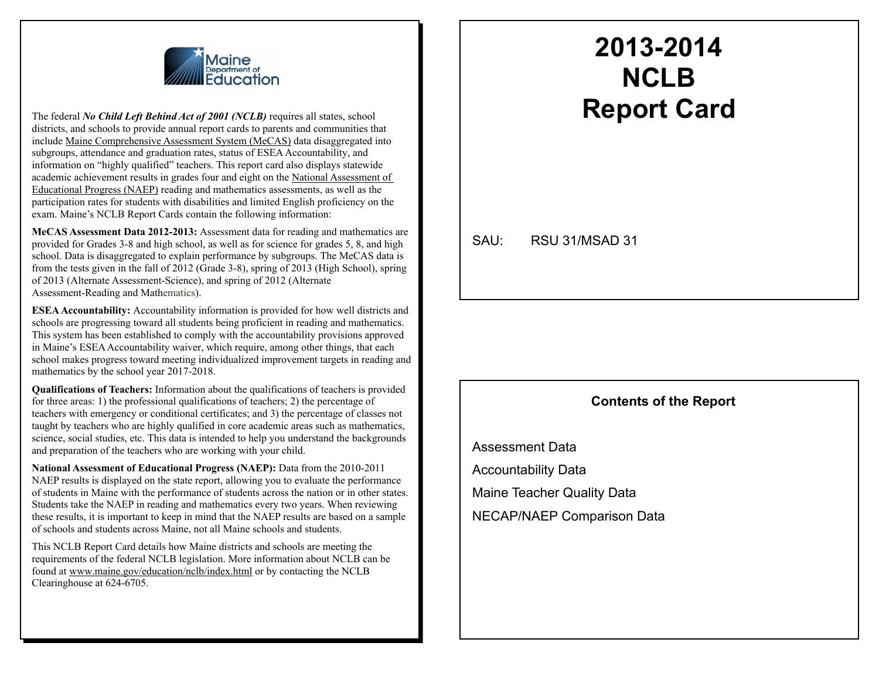

The federal *No Child Left Behind Act of 2001 (NCLB)* requires all states, school districts, and schools to provide annual report cards to parents and communities that include Maine Comprehensive Assessment System (MeCAS) data disaggregated into subgroups, attendance and graduation rates, status of ESEA Accountability, and information on "highly qualified" teachers. This report card also displays statewide academic achievement results in grades four and eight on the National Assessment of Educational Progress (NAEP) reading and mathematics assessments, as well as the participation rates for students with disabilities and limited English proficiency on the exam. Maine's NCLB Report Cards contain the following information:

**MeCAS Assessment Data 2012-2013:** Assessment data for reading and mathematics are provided for Grades 3-8 and high school, as well as for science for grades 5, 8, and high school. Data is disaggregated to explain performance by subgroups. The MeCAS data is from the tests given in the fall of 2012 (Grade 3-8), spring of 2013 (High School), spring of 2013 (Alternate Assessment-Science), and spring of 2012 (Alternate Assessment-Reading and Mathematics).

**ESEA Accountability:** Accountability information is provided for how well districts and schools are progressing toward all students being proficient in reading and mathematics. This system has been established to comply with the accountability provisions approved in Maine's ESEA Accountability waiver, which require, among other things, that each school makes progress toward meeting individualized improvement targets in reading and mathematics by the school year 2017-2018.

**Qualifications of Teachers:** Information about the qualifications of teachers is provided for three areas: 1) the professional qualifications of teachers; 2) the percentage of teachers with emergency or conditional certificates; and 3) the percentage of classes not taught by teachers who are highly qualified in core academic areas such as mathematics, science, social studies, etc. This data is intended to help you understand the backgrounds and preparation of the teachers who are working with your child.

**National Assessment of Educational Progress (NAEP):** Data from the 2010-2011 NAEP results is displayed on the state report, allowing you to evaluate the performance of students in Maine with the performance of students across the nation or in other states. Students take the NAEP in reading and mathematics every two years. When reviewing these results, it is important to keep in mind that the NAEP results are based on a sample of schools and students across Maine, not all Maine schools and students.

This NCLB Report Card details how Maine districts and schools are meeting the requirements of the federal NCLB legislation. More information about NCLB can be found at www.maine.gov/education/nclb/index.html or by contacting the NCLB Clearinghouse at 624-6705.

## **2013-2014 NCLB Report Card**

SAU: RSU 31/MSAD 31

#### **Contents of the Report**

Assessment Data Accountability Data Maine Teacher Quality Data NECAP/NAEP Comparison Data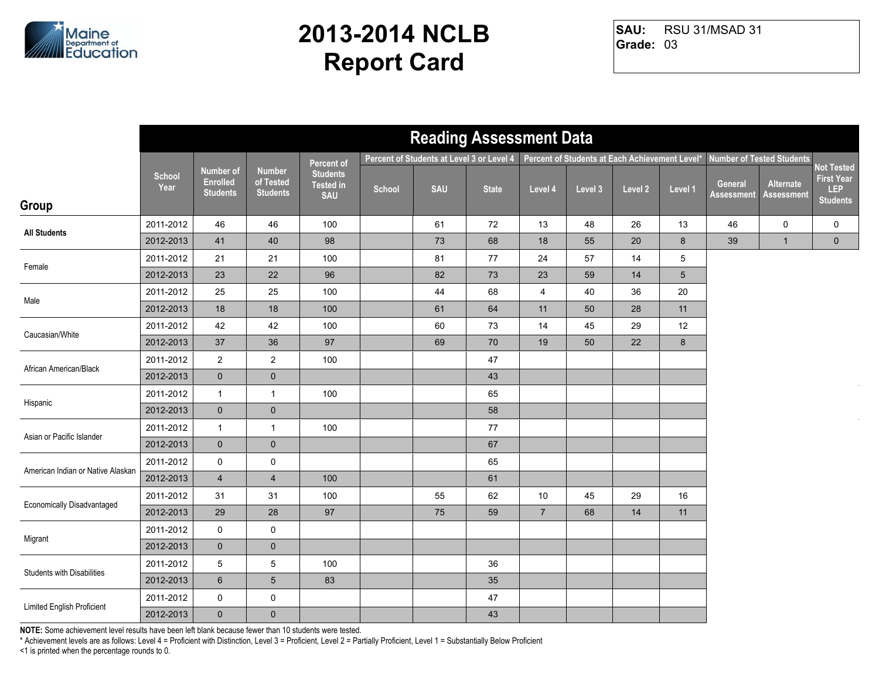

RSU 31/MSAD 31 **Grade:** 03 **SAU:**

|                                   |                       |                                                        |                                               |                                                   |        | <b>Reading Assessment Data</b>            |              |                |                                                |         |         |                       |                                |                                                           |
|-----------------------------------|-----------------------|--------------------------------------------------------|-----------------------------------------------|---------------------------------------------------|--------|-------------------------------------------|--------------|----------------|------------------------------------------------|---------|---------|-----------------------|--------------------------------|-----------------------------------------------------------|
|                                   |                       |                                                        |                                               | <b>Percent of</b>                                 |        | Percent of Students at Level 3 or Level 4 |              |                | Percent of Students at Each Achievement Level* |         |         |                       | Number of Tested Students      |                                                           |
| Group                             | <b>School</b><br>Year | <b>Number of</b><br><b>Enrolled</b><br><b>Students</b> | <b>Number</b><br>of Tested<br><b>Students</b> | <b>Students</b><br><b>Tested in</b><br><b>SAU</b> | School | <b>SAU</b>                                | <b>State</b> | Level 4        | Level 3                                        | Level 2 | Level 1 | General<br>Assessment | Alternate<br><b>Assessment</b> | Not Tested<br><b>First Year</b><br>LEP<br><b>Students</b> |
|                                   | 2011-2012             | 46                                                     | 46                                            | 100                                               |        | 61                                        | 72           | 13             | 48                                             | 26      | 13      | 46                    | 0                              | 0                                                         |
| <b>All Students</b>               | 2012-2013             | 41                                                     | 40                                            | 98                                                |        | 73                                        | 68           | 18             | 55                                             | 20      | 8       | 39                    | $\mathbf{1}$                   | $\mathbf 0$                                               |
| Female                            | 2011-2012             | 21                                                     | 21                                            | 100                                               |        | 81                                        | 77           | 24             | 57                                             | 14      | 5       |                       |                                |                                                           |
|                                   | 2012-2013             | 23                                                     | 22                                            | 96                                                |        | 82                                        | 73           | 23             | 59                                             | 14      | 5       |                       |                                |                                                           |
| Male                              | 2011-2012             | 25                                                     | 25                                            | 100                                               |        | 44                                        | 68           | $\overline{4}$ | 40                                             | 36      | 20      |                       |                                |                                                           |
|                                   | 2012-2013             | 18                                                     | 18                                            | 100                                               |        | 61                                        | 64           | 11             | 50                                             | 28      | 11      |                       |                                |                                                           |
| Caucasian/White                   | 2011-2012             | 42                                                     | 42                                            | 100                                               |        | 60                                        | 73           | 14             | 45                                             | 29      | 12      |                       |                                |                                                           |
|                                   | 2012-2013             | 37                                                     | 36                                            | 97                                                |        | 69                                        | 70           | 19             | 50                                             | 22      | 8       |                       |                                |                                                           |
| African American/Black            | 2011-2012             | $\overline{2}$                                         | $\boldsymbol{2}$                              | 100                                               |        |                                           | 47           |                |                                                |         |         |                       |                                |                                                           |
|                                   | 2012-2013             | $\mathbf 0$                                            | $\mathbf 0$                                   |                                                   |        |                                           | 43           |                |                                                |         |         |                       |                                |                                                           |
| Hispanic                          | 2011-2012             | $\mathbf{1}$                                           | $\mathbf{1}$                                  | 100                                               |        |                                           | 65           |                |                                                |         |         |                       |                                |                                                           |
|                                   | 2012-2013             | $\mathbf 0$                                            | $\pmb{0}$                                     |                                                   |        |                                           | 58           |                |                                                |         |         |                       |                                |                                                           |
| Asian or Pacific Islander         | 2011-2012             | $\mathbf{1}$                                           | $\mathbf{1}$                                  | 100                                               |        |                                           | 77           |                |                                                |         |         |                       |                                |                                                           |
|                                   | 2012-2013             | $\overline{0}$                                         | $\mathbf 0$                                   |                                                   |        |                                           | 67           |                |                                                |         |         |                       |                                |                                                           |
| American Indian or Native Alaskan | 2011-2012             | 0                                                      | $\pmb{0}$                                     |                                                   |        |                                           | 65           |                |                                                |         |         |                       |                                |                                                           |
|                                   | 2012-2013             | $\overline{4}$                                         | $\overline{4}$                                | 100                                               |        |                                           | 61           |                |                                                |         |         |                       |                                |                                                           |
| <b>Economically Disadvantaged</b> | 2011-2012             | 31                                                     | 31                                            | 100                                               |        | 55                                        | 62           | 10             | 45                                             | 29      | 16      |                       |                                |                                                           |
|                                   | 2012-2013             | 29                                                     | 28                                            | 97                                                |        | 75                                        | 59           | $\overline{7}$ | 68                                             | 14      | 11      |                       |                                |                                                           |
| Migrant                           | 2011-2012             | 0                                                      | $\pmb{0}$                                     |                                                   |        |                                           |              |                |                                                |         |         |                       |                                |                                                           |
|                                   | 2012-2013             | $\mathbf 0$                                            | $\mathbf 0$                                   |                                                   |        |                                           |              |                |                                                |         |         |                       |                                |                                                           |
| <b>Students with Disabilities</b> | 2011-2012             | 5                                                      | $\mathbf 5$                                   | 100                                               |        |                                           | 36           |                |                                                |         |         |                       |                                |                                                           |
|                                   | 2012-2013             | $6\phantom{1}$                                         | $\sqrt{5}$                                    | 83                                                |        |                                           | 35           |                |                                                |         |         |                       |                                |                                                           |
| Limited English Proficient        | 2011-2012             | 0                                                      | $\mathsf 0$                                   |                                                   |        |                                           | 47           |                |                                                |         |         |                       |                                |                                                           |
|                                   | 2012-2013             | $\overline{0}$                                         | $\pmb{0}$                                     |                                                   |        |                                           | 43           |                |                                                |         |         |                       |                                |                                                           |

**NOTE:** Some achievement level results have been left blank because fewer than 10 students were tested.

\* Achievement levels are as follows: Level 4 = Proficient with Distinction, Level 3 = Proficient, Level 2 = Partially Proficient, Level 1 = Substantially Below Proficient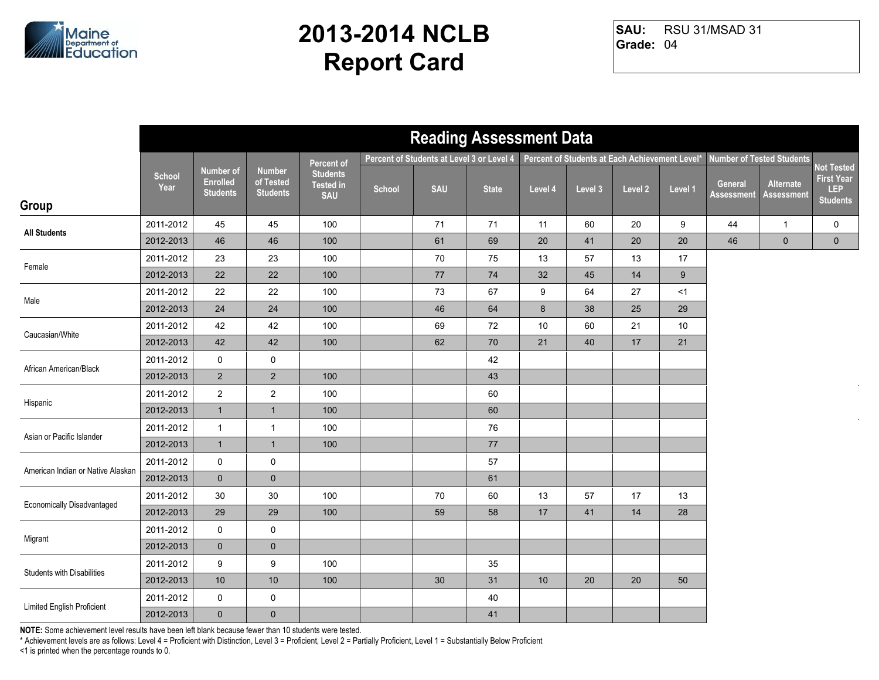

RSU 31/MSAD 31 **Grade:** 04 **SAU:**

|                                   |                       |                                                        |                                               |                                                   |        | <b>Reading Assessment Data</b>            |              |                                                |         |         |         |                       |                                |                                                           |
|-----------------------------------|-----------------------|--------------------------------------------------------|-----------------------------------------------|---------------------------------------------------|--------|-------------------------------------------|--------------|------------------------------------------------|---------|---------|---------|-----------------------|--------------------------------|-----------------------------------------------------------|
|                                   |                       |                                                        |                                               | <b>Percent of</b>                                 |        | Percent of Students at Level 3 or Level 4 |              | Percent of Students at Each Achievement Level* |         |         |         |                       | Number of Tested Students      |                                                           |
| Group                             | <b>School</b><br>Year | <b>Number of</b><br><b>Enrolled</b><br><b>Students</b> | <b>Number</b><br>of Tested<br><b>Students</b> | <b>Students</b><br><b>Tested in</b><br><b>SAU</b> | School | <b>SAU</b>                                | <b>State</b> | Level 4                                        | Level 3 | Level 2 | Level 1 | General<br>Assessment | Alternate<br><b>Assessment</b> | Not Tested<br><b>First Year</b><br>LEP<br><b>Students</b> |
|                                   | 2011-2012             | 45                                                     | 45                                            | 100                                               |        | 71                                        | 71           | 11                                             | 60      | 20      | 9       | 44                    | $\overline{1}$                 | 0                                                         |
| <b>All Students</b>               | 2012-2013             | 46                                                     | 46                                            | 100                                               |        | 61                                        | 69           | 20                                             | 41      | 20      | 20      | 46                    | $\mathbf 0$                    | $\mathbf 0$                                               |
|                                   | 2011-2012             | 23                                                     | 23                                            | 100                                               |        | 70                                        | 75           | 13                                             | 57      | 13      | 17      |                       |                                |                                                           |
| Female                            | 2012-2013             | 22                                                     | 22                                            | 100                                               |        | 77                                        | $\bf 74$     | 32                                             | 45      | 14      | 9       |                       |                                |                                                           |
|                                   | 2011-2012             | 22                                                     | 22                                            | 100                                               |        | 73                                        | 67           | 9                                              | 64      | 27      | <1      |                       |                                |                                                           |
| Male                              | 2012-2013             | 24                                                     | 24                                            | 100                                               |        | 46                                        | 64           | 8                                              | 38      | 25      | 29      |                       |                                |                                                           |
|                                   | 2011-2012             | 42                                                     | 42                                            | 100                                               |        | 69                                        | 72           | $10$                                           | 60      | 21      | 10      |                       |                                |                                                           |
| Caucasian/White                   | 2012-2013             | 42                                                     | 42                                            | 100                                               |        | 62                                        | $70\,$       | 21                                             | 40      | 17      | 21      |                       |                                |                                                           |
|                                   | 2011-2012             | $\mathsf{O}$                                           | $\mathbf 0$                                   |                                                   |        |                                           | 42           |                                                |         |         |         |                       |                                |                                                           |
| African American/Black            | 2012-2013             | $\overline{2}$                                         | $\overline{2}$                                | 100                                               |        |                                           | 43           |                                                |         |         |         |                       |                                |                                                           |
|                                   | 2011-2012             | $\overline{2}$                                         | $\sqrt{2}$                                    | 100                                               |        |                                           | 60           |                                                |         |         |         |                       |                                |                                                           |
| Hispanic                          | 2012-2013             | $\mathbf{1}$                                           | $\mathbf{1}$                                  | 100                                               |        |                                           | 60           |                                                |         |         |         |                       |                                |                                                           |
|                                   | 2011-2012             | $\mathbf{1}$                                           | $\overline{1}$                                | 100                                               |        |                                           | 76           |                                                |         |         |         |                       |                                |                                                           |
| Asian or Pacific Islander         | 2012-2013             | $\mathbf{1}$                                           | $\overline{1}$                                | 100                                               |        |                                           | 77           |                                                |         |         |         |                       |                                |                                                           |
|                                   | 2011-2012             | $\mathbf 0$                                            | $\mathsf 0$                                   |                                                   |        |                                           | 57           |                                                |         |         |         |                       |                                |                                                           |
| American Indian or Native Alaskan | 2012-2013             | $\mathbf 0$                                            | $\mathbf 0$                                   |                                                   |        |                                           | 61           |                                                |         |         |         |                       |                                |                                                           |
|                                   | 2011-2012             | 30                                                     | 30                                            | 100                                               |        | 70                                        | 60           | 13                                             | 57      | 17      | 13      |                       |                                |                                                           |
| <b>Economically Disadvantaged</b> | 2012-2013             | 29                                                     | 29                                            | 100                                               |        | 59                                        | 58           | 17                                             | 41      | 14      | 28      |                       |                                |                                                           |
|                                   | 2011-2012             | 0                                                      | $\pmb{0}$                                     |                                                   |        |                                           |              |                                                |         |         |         |                       |                                |                                                           |
| Migrant                           | 2012-2013             | $\mathbf 0$                                            | $\pmb{0}$                                     |                                                   |        |                                           |              |                                                |         |         |         |                       |                                |                                                           |
| <b>Students with Disabilities</b> | 2011-2012             | 9                                                      | 9                                             | 100                                               |        |                                           | 35           |                                                |         |         |         |                       |                                |                                                           |
|                                   | 2012-2013             | 10                                                     | $10$                                          | 100                                               |        | 30                                        | 31           | 10                                             | 20      | 20      | 50      |                       |                                |                                                           |
| Limited English Proficient        | 2011-2012             | $\mathsf{O}$                                           | $\mathsf{O}$                                  |                                                   |        |                                           | 40           |                                                |         |         |         |                       |                                |                                                           |
|                                   | 2012-2013             | $\mathbf 0$                                            | $\mathbf 0$                                   |                                                   |        |                                           | 41           |                                                |         |         |         |                       |                                |                                                           |

**NOTE:** Some achievement level results have been left blank because fewer than 10 students were tested.

\* Achievement levels are as follows: Level 4 = Proficient with Distinction, Level 3 = Proficient, Level 2 = Partially Proficient, Level 1 = Substantially Below Proficient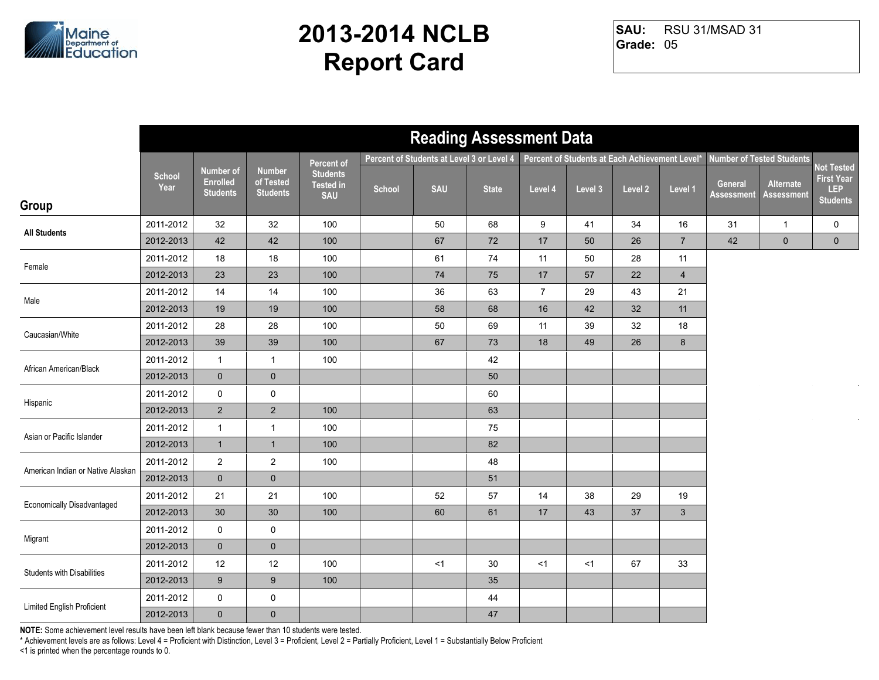

RSU 31/MSAD 31 **Grade:** 05 **SAU:**

|                                   |                       |                                                        |                                               |                                                   |        | <b>Reading Assessment Data</b>            |              |                |         |                                                |                |                       |                                |                                                           |
|-----------------------------------|-----------------------|--------------------------------------------------------|-----------------------------------------------|---------------------------------------------------|--------|-------------------------------------------|--------------|----------------|---------|------------------------------------------------|----------------|-----------------------|--------------------------------|-----------------------------------------------------------|
|                                   |                       |                                                        |                                               | <b>Percent of</b>                                 |        | Percent of Students at Level 3 or Level 4 |              |                |         | Percent of Students at Each Achievement Level* |                |                       | Number of Tested Students      |                                                           |
| Group                             | <b>School</b><br>Year | <b>Number of</b><br><b>Enrolled</b><br><b>Students</b> | <b>Number</b><br>of Tested<br><b>Students</b> | <b>Students</b><br><b>Tested in</b><br><b>SAU</b> | School | <b>SAU</b>                                | <b>State</b> | Level 4        | Level 3 | Level 2                                        | Level 1        | General<br>Assessment | Alternate<br><b>Assessment</b> | Not Tested<br><b>First Year</b><br>LEP<br><b>Students</b> |
|                                   | 2011-2012             | 32                                                     | 32                                            | 100                                               |        | 50                                        | 68           | 9              | 41      | 34                                             | 16             | 31                    | $\overline{1}$                 | 0                                                         |
| <b>All Students</b>               | 2012-2013             | 42                                                     | 42                                            | 100                                               |        | 67                                        | 72           | 17             | 50      | 26                                             | $\overline{7}$ | 42                    | $\mathbf 0$                    | $\mathbf 0$                                               |
| Female                            | 2011-2012             | 18                                                     | 18                                            | 100                                               |        | 61                                        | 74           | 11             | 50      | 28                                             | 11             |                       |                                |                                                           |
|                                   | 2012-2013             | 23                                                     | 23                                            | 100                                               |        | 74                                        | 75           | 17             | 57      | 22                                             | $\overline{4}$ |                       |                                |                                                           |
| Male                              | 2011-2012             | 14                                                     | 14                                            | 100                                               |        | 36                                        | 63           | $\overline{7}$ | 29      | 43                                             | 21             |                       |                                |                                                           |
|                                   | 2012-2013             | 19                                                     | 19                                            | 100                                               |        | 58                                        | 68           | 16             | 42      | 32                                             | 11             |                       |                                |                                                           |
| Caucasian/White                   | 2011-2012             | 28                                                     | 28                                            | 100                                               |        | 50                                        | 69           | 11             | 39      | 32                                             | 18             |                       |                                |                                                           |
|                                   | 2012-2013             | 39                                                     | 39                                            | 100                                               |        | 67                                        | 73           | 18             | 49      | 26                                             | $\bf 8$        |                       |                                |                                                           |
| African American/Black            | 2011-2012             | $\mathbf{1}$                                           | $\overline{1}$                                | 100                                               |        |                                           | 42           |                |         |                                                |                |                       |                                |                                                           |
|                                   | 2012-2013             | $\mathbf 0$                                            | $\mathbf 0$                                   |                                                   |        |                                           | 50           |                |         |                                                |                |                       |                                |                                                           |
| Hispanic                          | 2011-2012             | $\mathsf{O}$                                           | $\mathsf 0$                                   |                                                   |        |                                           | 60           |                |         |                                                |                |                       |                                |                                                           |
|                                   | 2012-2013             | $2^{\circ}$                                            | $\overline{2}$                                | 100                                               |        |                                           | 63           |                |         |                                                |                |                       |                                |                                                           |
| Asian or Pacific Islander         | 2011-2012             | $\mathbf{1}$                                           | $\overline{1}$                                | 100                                               |        |                                           | 75           |                |         |                                                |                |                       |                                |                                                           |
|                                   | 2012-2013             | 1                                                      | $\overline{1}$                                | 100                                               |        |                                           | 82           |                |         |                                                |                |                       |                                |                                                           |
| American Indian or Native Alaskan | 2011-2012             | $\overline{2}$                                         | $\overline{2}$                                | 100                                               |        |                                           | 48           |                |         |                                                |                |                       |                                |                                                           |
|                                   | 2012-2013             | $\mathbf{0}$                                           | $\mathbf 0$                                   |                                                   |        |                                           | 51           |                |         |                                                |                |                       |                                |                                                           |
| <b>Economically Disadvantaged</b> | 2011-2012             | 21                                                     | 21                                            | 100                                               |        | 52                                        | 57           | 14             | 38      | 29                                             | 19             |                       |                                |                                                           |
|                                   | 2012-2013             | 30                                                     | 30                                            | 100                                               |        | 60                                        | 61           | 17             | 43      | 37                                             | $\mathbf{3}$   |                       |                                |                                                           |
| Migrant                           | 2011-2012             | 0                                                      | $\mathsf 0$                                   |                                                   |        |                                           |              |                |         |                                                |                |                       |                                |                                                           |
|                                   | 2012-2013             | $\mathbf 0$                                            | $\mathbf 0$                                   |                                                   |        |                                           |              |                |         |                                                |                |                       |                                |                                                           |
| <b>Students with Disabilities</b> | 2011-2012             | 12                                                     | $12$                                          | 100                                               |        | <1                                        | 30           | $<$ 1          | $<$ 1   | 67                                             | 33             |                       |                                |                                                           |
|                                   | 2012-2013             | 9                                                      | 9                                             | 100                                               |        |                                           | 35           |                |         |                                                |                |                       |                                |                                                           |
| Limited English Proficient        | 2011-2012             | 0                                                      | $\mathsf 0$                                   |                                                   |        |                                           | 44           |                |         |                                                |                |                       |                                |                                                           |
|                                   | 2012-2013             | $\mathbf 0$                                            | $\pmb{0}$                                     |                                                   |        |                                           | 47           |                |         |                                                |                |                       |                                |                                                           |

**NOTE:** Some achievement level results have been left blank because fewer than 10 students were tested.

\* Achievement levels are as follows: Level 4 = Proficient with Distinction, Level 3 = Proficient, Level 2 = Partially Proficient, Level 1 = Substantially Below Proficient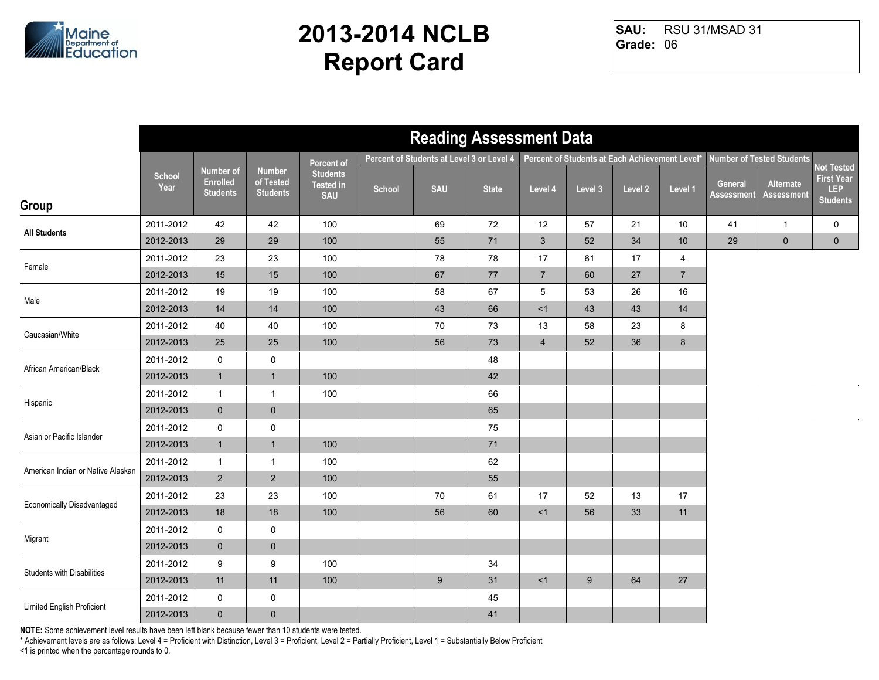

RSU 31/MSAD 31 **Grade:** 06 **SAU:**

|                                   |                       |                                                        |                                               |                                                   |        | <b>Reading Assessment Data</b>            |              |                 |                                                |         |                |                              |                                  |                                                           |
|-----------------------------------|-----------------------|--------------------------------------------------------|-----------------------------------------------|---------------------------------------------------|--------|-------------------------------------------|--------------|-----------------|------------------------------------------------|---------|----------------|------------------------------|----------------------------------|-----------------------------------------------------------|
|                                   |                       |                                                        |                                               | Percent of                                        |        | Percent of Students at Level 3 or Level 4 |              |                 | Percent of Students at Each Achievement Level* |         |                |                              | <b>Number of Tested Students</b> |                                                           |
| Group                             | <b>School</b><br>Year | <b>Number of</b><br><b>Enrolled</b><br><b>Students</b> | <b>Number</b><br>of Tested<br><b>Students</b> | <b>Students</b><br><b>Tested in</b><br><b>SAU</b> | School | <b>SAU</b>                                | <b>State</b> | Level 4         | Level 3                                        | Level 2 | Level 1        | General<br><b>Assessment</b> | Alternate<br><b>Assessment</b>   | Not Tested<br><b>First Year</b><br>LEP<br><b>Students</b> |
|                                   |                       |                                                        |                                               |                                                   |        |                                           |              |                 |                                                |         |                |                              |                                  |                                                           |
| <b>All Students</b>               | 2011-2012             | 42                                                     | 42                                            | 100                                               |        | 69                                        | 72           | 12              | 57                                             | 21      | 10             | 41                           | $\mathbf{1}$                     | 0                                                         |
|                                   | 2012-2013             | 29                                                     | 29                                            | 100                                               |        | 55                                        | $71$         | $\mathbf{3}$    | 52                                             | 34      | $10$           | 29                           | $\mathbf 0$                      | $\mathbf 0$                                               |
| Female                            | 2011-2012             | 23                                                     | 23                                            | 100                                               |        | 78                                        | 78           | 17              | 61                                             | 17      | $\overline{4}$ |                              |                                  |                                                           |
|                                   | 2012-2013             | 15                                                     | 15                                            | 100                                               |        | 67                                        | 77           | $\overline{7}$  | 60                                             | 27      | $\overline{7}$ |                              |                                  |                                                           |
| Male                              | 2011-2012             | 19                                                     | 19                                            | 100                                               |        | 58                                        | 67           | $5\phantom{.0}$ | 53                                             | 26      | 16             |                              |                                  |                                                           |
|                                   | 2012-2013             | 14                                                     | 14                                            | 100                                               |        | 43                                        | 66           | <1              | 43                                             | 43      | 14             |                              |                                  |                                                           |
| Caucasian/White                   | 2011-2012             | 40                                                     | 40                                            | 100                                               |        | 70                                        | 73           | 13              | 58                                             | 23      | 8              |                              |                                  |                                                           |
|                                   | 2012-2013             | 25                                                     | 25                                            | 100                                               |        | 56                                        | 73           | $\overline{4}$  | 52                                             | 36      | $\bf 8$        |                              |                                  |                                                           |
| African American/Black            | 2011-2012             | 0                                                      | $\pmb{0}$                                     |                                                   |        |                                           | 48           |                 |                                                |         |                |                              |                                  |                                                           |
|                                   | 2012-2013             | $\mathbf{1}$                                           | $\overline{1}$                                | 100                                               |        |                                           | 42           |                 |                                                |         |                |                              |                                  |                                                           |
|                                   | 2011-2012             | $\mathbf{1}$                                           | $\mathbf{1}$                                  | 100                                               |        |                                           | 66           |                 |                                                |         |                |                              |                                  |                                                           |
| Hispanic                          | 2012-2013             | $\mathbf 0$                                            | $\mathbf 0$                                   |                                                   |        |                                           | 65           |                 |                                                |         |                |                              |                                  |                                                           |
| Asian or Pacific Islander         | 2011-2012             | $\pmb{0}$                                              | $\pmb{0}$                                     |                                                   |        |                                           | 75           |                 |                                                |         |                |                              |                                  |                                                           |
|                                   | 2012-2013             | $\mathbf{1}$                                           | $\mathbf{1}$                                  | 100                                               |        |                                           | 71           |                 |                                                |         |                |                              |                                  |                                                           |
| American Indian or Native Alaskan | 2011-2012             | $\mathbf{1}$                                           | $\mathbf{1}$                                  | 100                                               |        |                                           | 62           |                 |                                                |         |                |                              |                                  |                                                           |
|                                   | 2012-2013             | $\overline{2}$                                         | $\overline{2}$                                | 100                                               |        |                                           | 55           |                 |                                                |         |                |                              |                                  |                                                           |
| <b>Economically Disadvantaged</b> | 2011-2012             | 23                                                     | 23                                            | 100                                               |        | 70                                        | 61           | 17              | 52                                             | 13      | 17             |                              |                                  |                                                           |
|                                   | 2012-2013             | 18                                                     | 18                                            | 100                                               |        | 56                                        | 60           | <1              | 56                                             | 33      | 11             |                              |                                  |                                                           |
| Migrant                           | 2011-2012             | 0                                                      | $\mathbf 0$                                   |                                                   |        |                                           |              |                 |                                                |         |                |                              |                                  |                                                           |
|                                   | 2012-2013             | $\mathbf 0$                                            | $\pmb{0}$                                     |                                                   |        |                                           |              |                 |                                                |         |                |                              |                                  |                                                           |
| <b>Students with Disabilities</b> | 2011-2012             | 9                                                      | 9                                             | 100                                               |        |                                           | 34           |                 |                                                |         |                |                              |                                  |                                                           |
|                                   | 2012-2013             | 11                                                     | 11                                            | 100                                               |        | 9                                         | 31           | <1              | 9                                              | 64      | 27             |                              |                                  |                                                           |
| Limited English Proficient        | 2011-2012             | 0                                                      | 0                                             |                                                   |        |                                           | 45           |                 |                                                |         |                |                              |                                  |                                                           |
|                                   | 2012-2013             | $\mathbf 0$                                            | $\pmb{0}$                                     |                                                   |        |                                           | 41           |                 |                                                |         |                |                              |                                  |                                                           |

**NOTE:** Some achievement level results have been left blank because fewer than 10 students were tested.

\* Achievement levels are as follows: Level 4 = Proficient with Distinction, Level 3 = Proficient, Level 2 = Partially Proficient, Level 1 = Substantially Below Proficient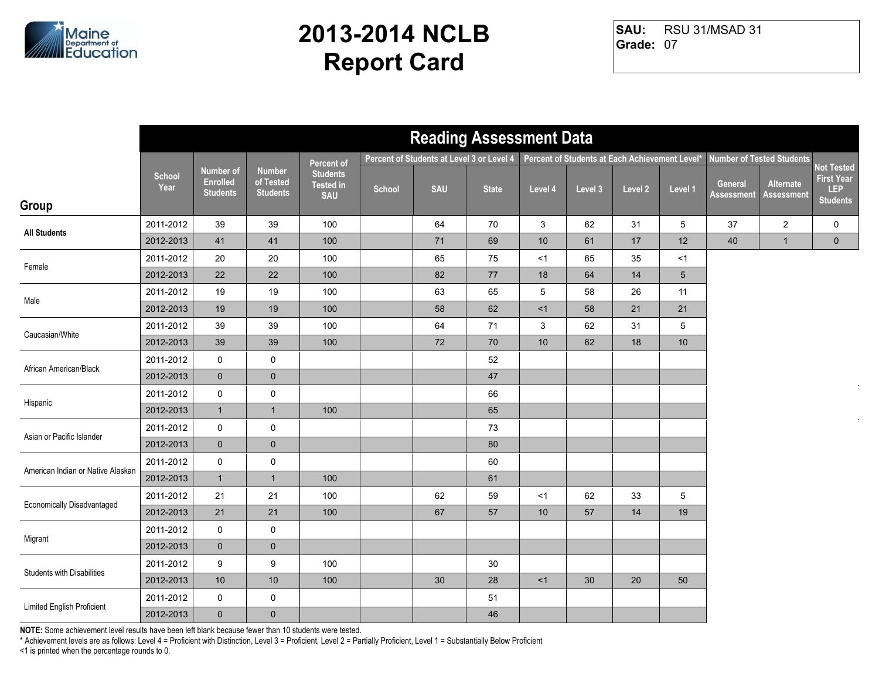

RSU 31/MSAD 31 **Grade:** 07 **SAU:**

|                                   |                       |                                                 |                                               |                                                   |        | <b>Reading Assessment Data</b>            |              |         |                                                |         |         |                              |                                |                                                                  |
|-----------------------------------|-----------------------|-------------------------------------------------|-----------------------------------------------|---------------------------------------------------|--------|-------------------------------------------|--------------|---------|------------------------------------------------|---------|---------|------------------------------|--------------------------------|------------------------------------------------------------------|
|                                   |                       |                                                 |                                               | Percent of                                        |        | Percent of Students at Level 3 or Level 4 |              |         | Percent of Students at Each Achievement Level* |         |         |                              | Number of Tested Students      |                                                                  |
| Group                             | <b>School</b><br>Year | Number of<br><b>Enrolled</b><br><b>Students</b> | <b>Number</b><br>of Tested<br><b>Students</b> | <b>Students</b><br><b>Tested in</b><br><b>SAU</b> | School | <b>SAU</b>                                | <b>State</b> | Level 4 | Level 3                                        | Level 2 | Level 1 | General<br><b>Assessment</b> | Alternate<br><b>Assessment</b> | <b>Not Tested</b><br><b>First Year</b><br>LEP<br><b>Students</b> |
|                                   | 2011-2012             | 39                                              | 39                                            | 100                                               |        | 64                                        | 70           | 3       | 62                                             | 31      | 5       | 37                           | $\overline{2}$                 | $\mathsf{O}$                                                     |
| <b>All Students</b>               | 2012-2013             | 41                                              | 41                                            | 100                                               |        | 71                                        | 69           | 10      | 61                                             | 17      | 12      | 40                           | $\mathbf{1}$                   | $\mathbf 0$                                                      |
|                                   | 2011-2012             | 20                                              | 20                                            | 100                                               |        | 65                                        | 75           | $<$ 1   | 65                                             | 35      | <1      |                              |                                |                                                                  |
| Female                            | 2012-2013             | 22                                              | 22                                            | 100                                               |        | 82                                        | 77           | 18      | 64                                             | 14      | 5       |                              |                                |                                                                  |
| Male                              | 2011-2012             | 19                                              | 19                                            | 100                                               |        | 63                                        | 65           | 5       | 58                                             | 26      | 11      |                              |                                |                                                                  |
|                                   | 2012-2013             | 19                                              | 19                                            | 100                                               |        | 58                                        | 62           | <1      | 58                                             | 21      | 21      |                              |                                |                                                                  |
| Caucasian/White                   | 2011-2012             | 39                                              | 39                                            | 100                                               |        | 64                                        | 71           | 3       | 62                                             | 31      | 5       |                              |                                |                                                                  |
|                                   | 2012-2013             | 39                                              | 39                                            | 100                                               |        | 72                                        | 70           | 10      | 62                                             | 18      | 10      |                              |                                |                                                                  |
| African American/Black            | 2011-2012             | 0                                               | $\pmb{0}$                                     |                                                   |        |                                           | 52           |         |                                                |         |         |                              |                                |                                                                  |
|                                   | 2012-2013             | $\mathbf{0}$                                    | $\mathbf 0$                                   |                                                   |        |                                           | 47           |         |                                                |         |         |                              |                                |                                                                  |
| Hispanic                          | 2011-2012             | 0                                               | $\pmb{0}$                                     |                                                   |        |                                           | 66           |         |                                                |         |         |                              |                                |                                                                  |
|                                   | 2012-2013             | $\mathbf{1}$                                    | $\mathbf{1}$                                  | 100                                               |        |                                           | 65           |         |                                                |         |         |                              |                                |                                                                  |
| Asian or Pacific Islander         | 2011-2012             | 0                                               | $\pmb{0}$                                     |                                                   |        |                                           | 73           |         |                                                |         |         |                              |                                |                                                                  |
|                                   | 2012-2013             | $\mathbf{0}$                                    | $\mathbf 0$                                   |                                                   |        |                                           | 80           |         |                                                |         |         |                              |                                |                                                                  |
| American Indian or Native Alaskan | 2011-2012             | 0                                               | $\mathbf 0$                                   |                                                   |        |                                           | 60           |         |                                                |         |         |                              |                                |                                                                  |
|                                   | 2012-2013             | $\mathbf{1}$                                    | $\overline{1}$                                | 100                                               |        |                                           | 61           |         |                                                |         |         |                              |                                |                                                                  |
| Economically Disadvantaged        | 2011-2012             | 21                                              | 21                                            | 100                                               |        | 62                                        | 59           | <1      | 62                                             | 33      | 5       |                              |                                |                                                                  |
|                                   | 2012-2013             | 21                                              | 21                                            | 100                                               |        | 67                                        | 57           | 10      | 57                                             | 14      | 19      |                              |                                |                                                                  |
| Migrant                           | 2011-2012             | 0                                               | $\mathsf 0$                                   |                                                   |        |                                           |              |         |                                                |         |         |                              |                                |                                                                  |
|                                   | 2012-2013             | $\mathbf 0$                                     | $\pmb{0}$                                     |                                                   |        |                                           |              |         |                                                |         |         |                              |                                |                                                                  |
| <b>Students with Disabilities</b> | 2011-2012             | 9                                               | 9                                             | 100                                               |        |                                           | 30           |         |                                                |         |         |                              |                                |                                                                  |
|                                   | 2012-2013             | 10                                              | $10$                                          | 100                                               |        | 30                                        | 28           | <1      | 30                                             | 20      | 50      |                              |                                |                                                                  |
| Limited English Proficient        | 2011-2012             | 0                                               | $\mathsf 0$                                   |                                                   |        |                                           | 51           |         |                                                |         |         |                              |                                |                                                                  |
|                                   | 2012-2013             | $\mathbf{0}$                                    | $\pmb{0}$                                     |                                                   |        |                                           | 46           |         |                                                |         |         |                              |                                |                                                                  |

**NOTE:** Some achievement level results have been left blank because fewer than 10 students were tested.

\* Achievement levels are as follows: Level 4 = Proficient with Distinction, Level 3 = Proficient, Level 2 = Partially Proficient, Level 1 = Substantially Below Proficient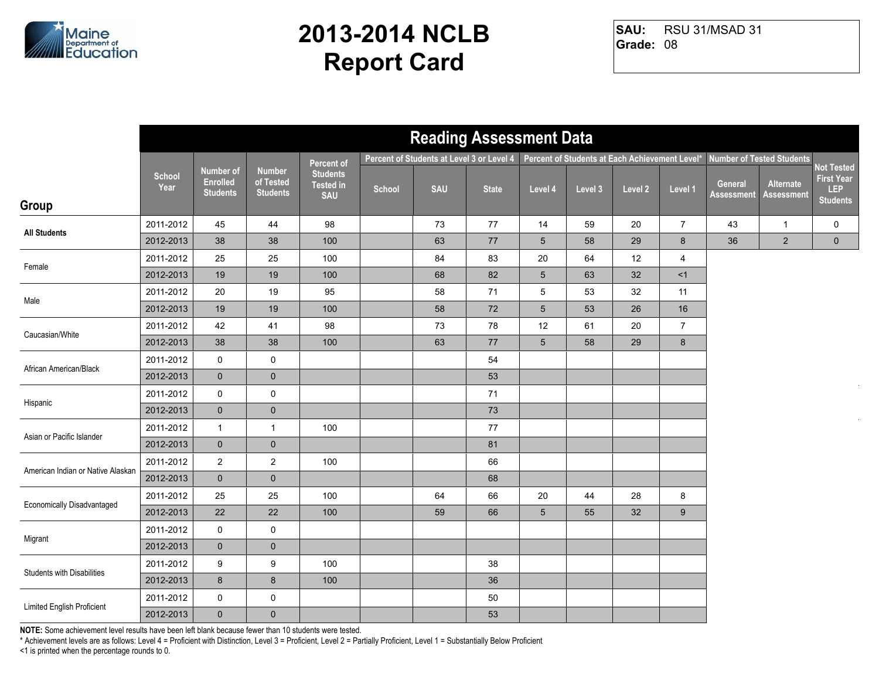

RSU 31/MSAD 31 **Grade:** 08 **SAU:**

|                                   |                       |                                                        |                                               |                                                   |        | <b>Reading Assessment Data</b>            |              |         |                                                |         |                |                       |                                |                                                           |
|-----------------------------------|-----------------------|--------------------------------------------------------|-----------------------------------------------|---------------------------------------------------|--------|-------------------------------------------|--------------|---------|------------------------------------------------|---------|----------------|-----------------------|--------------------------------|-----------------------------------------------------------|
|                                   |                       |                                                        |                                               | <b>Percent of</b>                                 |        | Percent of Students at Level 3 or Level 4 |              |         | Percent of Students at Each Achievement Level* |         |                |                       | Number of Tested Students      |                                                           |
| Group                             | <b>School</b><br>Year | <b>Number of</b><br><b>Enrolled</b><br><b>Students</b> | <b>Number</b><br>of Tested<br><b>Students</b> | <b>Students</b><br><b>Tested in</b><br><b>SAU</b> | School | <b>SAU</b>                                | <b>State</b> | Level 4 | Level 3                                        | Level 2 | Level 1        | General<br>Assessment | Alternate<br><b>Assessment</b> | Not Tested<br><b>First Year</b><br>LEP<br><b>Students</b> |
|                                   | 2011-2012             | 45                                                     | 44                                            | 98                                                |        | 73                                        | 77           | 14      | 59                                             | 20      | $\overline{7}$ | 43                    | $\mathbf{1}$                   | $\mathbf 0$                                               |
| <b>All Students</b>               | 2012-2013             | 38                                                     | 38                                            | 100                                               |        | 63                                        | 77           | 5       | 58                                             | 29      | 8              | 36                    | $\overline{2}$                 | $\mathbf 0$                                               |
| Female                            | 2011-2012             | 25                                                     | 25                                            | 100                                               |        | 84                                        | 83           | 20      | 64                                             | 12      | 4              |                       |                                |                                                           |
|                                   | 2012-2013             | 19                                                     | 19                                            | 100                                               |        | 68                                        | 82           | 5       | 63                                             | 32      | <1             |                       |                                |                                                           |
| Male                              | 2011-2012             | 20                                                     | 19                                            | 95                                                |        | 58                                        | 71           | 5       | 53                                             | 32      | 11             |                       |                                |                                                           |
|                                   | 2012-2013             | 19                                                     | 19                                            | 100                                               |        | 58                                        | $72\,$       | 5       | 53                                             | 26      | 16             |                       |                                |                                                           |
| Caucasian/White                   | 2011-2012             | 42                                                     | 41                                            | 98                                                |        | 73                                        | 78           | 12      | 61                                             | 20      | $\overline{7}$ |                       |                                |                                                           |
|                                   | 2012-2013             | 38                                                     | 38                                            | 100                                               |        | 63                                        | 77           | 5       | 58                                             | 29      | 8              |                       |                                |                                                           |
| African American/Black            | 2011-2012             | 0                                                      | $\pmb{0}$                                     |                                                   |        |                                           | 54           |         |                                                |         |                |                       |                                |                                                           |
|                                   | 2012-2013             | $\mathbf 0$                                            | $\mathbf 0$                                   |                                                   |        |                                           | 53           |         |                                                |         |                |                       |                                |                                                           |
| Hispanic                          | 2011-2012             | $\mathsf{O}$                                           | $\pmb{0}$                                     |                                                   |        |                                           | 71           |         |                                                |         |                |                       |                                |                                                           |
|                                   | 2012-2013             | $\mathbf 0$                                            | $\pmb{0}$                                     |                                                   |        |                                           | 73           |         |                                                |         |                |                       |                                |                                                           |
| Asian or Pacific Islander         | 2011-2012             | $\mathbf{1}$                                           | $\mathbf{1}$                                  | 100                                               |        |                                           | 77           |         |                                                |         |                |                       |                                |                                                           |
|                                   | 2012-2013             | $\mathbf{0}$                                           | $\mathbf 0$                                   |                                                   |        |                                           | 81           |         |                                                |         |                |                       |                                |                                                           |
| American Indian or Native Alaskan | 2011-2012             | $\overline{2}$                                         | $\overline{2}$                                | 100                                               |        |                                           | 66           |         |                                                |         |                |                       |                                |                                                           |
|                                   | 2012-2013             | $\mathbf{0}$                                           | $\mathbf 0$                                   |                                                   |        |                                           | 68           |         |                                                |         |                |                       |                                |                                                           |
| <b>Economically Disadvantaged</b> | 2011-2012             | 25                                                     | 25                                            | 100                                               |        | 64                                        | 66           | 20      | 44                                             | 28      | 8              |                       |                                |                                                           |
|                                   | 2012-2013             | 22                                                     | 22                                            | 100                                               |        | 59                                        | 66           | 5       | 55                                             | 32      | 9              |                       |                                |                                                           |
| Migrant                           | 2011-2012             | 0                                                      | $\pmb{0}$                                     |                                                   |        |                                           |              |         |                                                |         |                |                       |                                |                                                           |
|                                   | 2012-2013             | $\mathbf 0$                                            | $\mathbf 0$                                   |                                                   |        |                                           |              |         |                                                |         |                |                       |                                |                                                           |
| <b>Students with Disabilities</b> | 2011-2012             | 9                                                      | 9                                             | 100                                               |        |                                           | 38           |         |                                                |         |                |                       |                                |                                                           |
|                                   | 2012-2013             | 8                                                      | $\bf 8$                                       | 100                                               |        |                                           | 36           |         |                                                |         |                |                       |                                |                                                           |
| Limited English Proficient        | 2011-2012             | 0                                                      | $\mathsf 0$                                   |                                                   |        |                                           | 50           |         |                                                |         |                |                       |                                |                                                           |
|                                   | 2012-2013             | $\mathbf{0}$                                           | $\pmb{0}$                                     |                                                   |        |                                           | 53           |         |                                                |         |                |                       |                                |                                                           |

**NOTE:** Some achievement level results have been left blank because fewer than 10 students were tested.

\* Achievement levels are as follows: Level 4 = Proficient with Distinction, Level 3 = Proficient, Level 2 = Partially Proficient, Level 1 = Substantially Below Proficient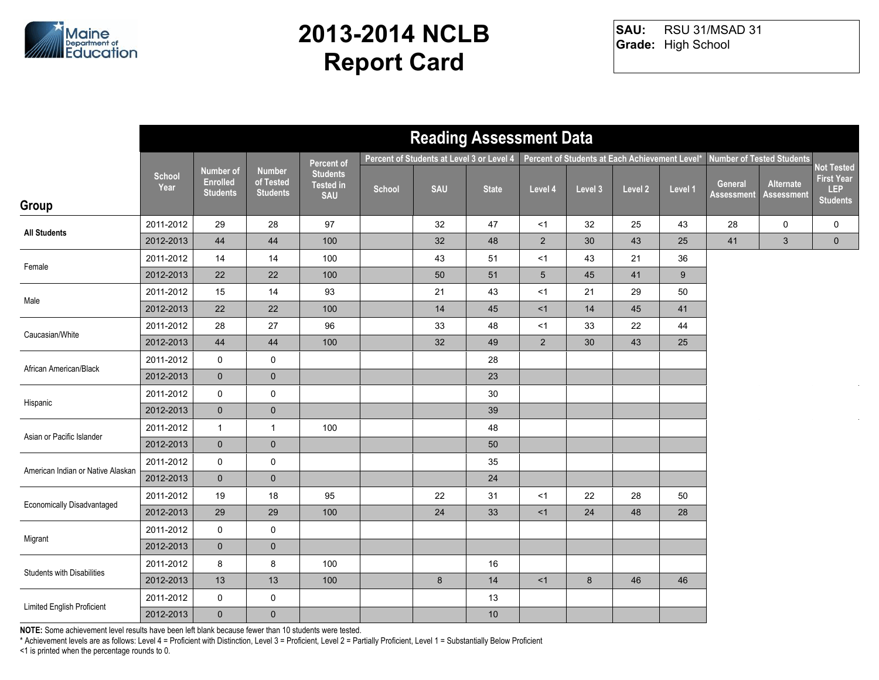

RSU 31/MSAD 31 **Grade:** High School **SAU:**

|                                   |                       |                                                        |                                               |                                                   |        |            | <b>Reading Assessment Data</b>            |                 |                                                |         |         |                              |                                  |                                                                  |
|-----------------------------------|-----------------------|--------------------------------------------------------|-----------------------------------------------|---------------------------------------------------|--------|------------|-------------------------------------------|-----------------|------------------------------------------------|---------|---------|------------------------------|----------------------------------|------------------------------------------------------------------|
|                                   |                       |                                                        |                                               | Percent of                                        |        |            | Percent of Students at Level 3 or Level 4 |                 | Percent of Students at Each Achievement Level* |         |         |                              | <b>Number of Tested Students</b> |                                                                  |
| Group                             | <b>School</b><br>Year | <b>Number of</b><br><b>Enrolled</b><br><b>Students</b> | <b>Number</b><br>of Tested<br><b>Students</b> | <b>Students</b><br><b>Tested in</b><br><b>SAU</b> | School | <b>SAU</b> | <b>State</b>                              | Level 4         | Level 3                                        | Level 2 | Level 1 | General<br><b>Assessment</b> | Alternate<br><b>Assessment</b>   | <b>Not Tested</b><br><b>First Year</b><br>LEP<br><b>Students</b> |
|                                   | 2011-2012             | 29                                                     | 28                                            | 97                                                |        | 32         | 47                                        | <1              | 32                                             | 25      | 43      | 28                           | 0                                | 0                                                                |
| <b>All Students</b>               | 2012-2013             | 44                                                     | 44                                            | 100                                               |        | 32         | 48                                        | 2               | 30                                             | 43      | 25      | 41                           | $\mathbf{3}$                     | $\overline{0}$                                                   |
|                                   | 2011-2012             | 14                                                     | 14                                            | 100                                               |        | 43         | 51                                        | $<$ 1           | 43                                             | 21      | 36      |                              |                                  |                                                                  |
| Female                            | 2012-2013             | 22                                                     | 22                                            | 100                                               |        | 50         | 51                                        | $5\phantom{.0}$ | 45                                             | 41      | 9       |                              |                                  |                                                                  |
|                                   | 2011-2012             | 15                                                     | 14                                            | 93                                                |        | 21         | 43                                        | $<$ 1           | 21                                             | 29      | 50      |                              |                                  |                                                                  |
| Male                              | 2012-2013             | 22                                                     | 22                                            | 100                                               |        | 14         | 45                                        | <1              | 14                                             | 45      | 41      |                              |                                  |                                                                  |
| Caucasian/White                   | 2011-2012             | 28                                                     | 27                                            | 96                                                |        | 33         | 48                                        | <1              | 33                                             | 22      | 44      |                              |                                  |                                                                  |
|                                   | 2012-2013             | 44                                                     | 44                                            | 100                                               |        | 32         | 49                                        | 2               | 30                                             | 43      | 25      |                              |                                  |                                                                  |
| African American/Black            | 2011-2012             | 0                                                      | $\pmb{0}$                                     |                                                   |        |            | 28                                        |                 |                                                |         |         |                              |                                  |                                                                  |
|                                   | 2012-2013             | $\mathbf 0$                                            | $\pmb{0}$                                     |                                                   |        |            | 23                                        |                 |                                                |         |         |                              |                                  |                                                                  |
|                                   | 2011-2012             | $\mathbf 0$                                            | $\pmb{0}$                                     |                                                   |        |            | $30\,$                                    |                 |                                                |         |         |                              |                                  |                                                                  |
| Hispanic                          | 2012-2013             | $\mathbf 0$                                            | $\pmb{0}$                                     |                                                   |        |            | 39                                        |                 |                                                |         |         |                              |                                  |                                                                  |
| Asian or Pacific Islander         | 2011-2012             | $\mathbf{1}$                                           | $\mathbf{1}$                                  | 100                                               |        |            | 48                                        |                 |                                                |         |         |                              |                                  |                                                                  |
|                                   | 2012-2013             | $\overline{0}$                                         | $\pmb{0}$                                     |                                                   |        |            | 50                                        |                 |                                                |         |         |                              |                                  |                                                                  |
| American Indian or Native Alaskan | 2011-2012             | 0                                                      | $\pmb{0}$                                     |                                                   |        |            | 35                                        |                 |                                                |         |         |                              |                                  |                                                                  |
|                                   | 2012-2013             | $\overline{0}$                                         | $\mathbf 0$                                   |                                                   |        |            | 24                                        |                 |                                                |         |         |                              |                                  |                                                                  |
| Economically Disadvantaged        | 2011-2012             | 19                                                     | 18                                            | 95                                                |        | 22         | 31                                        | <1              | 22                                             | 28      | 50      |                              |                                  |                                                                  |
|                                   | 2012-2013             | 29                                                     | 29                                            | 100                                               |        | 24         | 33                                        | <1              | 24                                             | 48      | 28      |                              |                                  |                                                                  |
| Migrant                           | 2011-2012             | $\mathsf{O}$                                           | $\pmb{0}$                                     |                                                   |        |            |                                           |                 |                                                |         |         |                              |                                  |                                                                  |
|                                   | 2012-2013             | $\overline{0}$                                         | $\pmb{0}$                                     |                                                   |        |            |                                           |                 |                                                |         |         |                              |                                  |                                                                  |
| <b>Students with Disabilities</b> | 2011-2012             | 8                                                      | 8                                             | 100                                               |        |            | 16                                        |                 |                                                |         |         |                              |                                  |                                                                  |
|                                   | 2012-2013             | 13                                                     | 13                                            | 100                                               |        | $\bf 8$    | 14                                        | <1              | 8                                              | 46      | 46      |                              |                                  |                                                                  |
| Limited English Proficient        | 2011-2012             | 0                                                      | $\pmb{0}$                                     |                                                   |        |            | 13                                        |                 |                                                |         |         |                              |                                  |                                                                  |
|                                   | 2012-2013             | $\overline{0}$                                         | $\pmb{0}$                                     |                                                   |        |            | $10$                                      |                 |                                                |         |         |                              |                                  |                                                                  |

**NOTE:** Some achievement level results have been left blank because fewer than 10 students were tested.

\* Achievement levels are as follows: Level 4 = Proficient with Distinction, Level 3 = Proficient, Level 2 = Partially Proficient, Level 1 = Substantially Below Proficient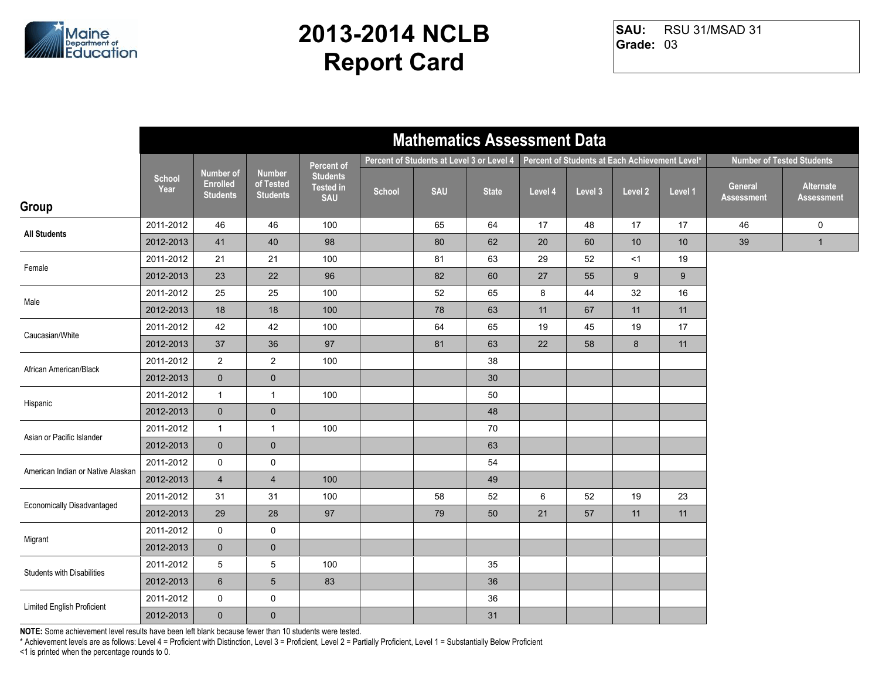

RSU 31/MSAD 31 **Grade:** 03 **SAU:**

|                                   |                       |                                                 |                                               |                                                   |        |                                           | <b>Mathematics Assessment Data</b> |         |                                                |         |         |                              |                                  |
|-----------------------------------|-----------------------|-------------------------------------------------|-----------------------------------------------|---------------------------------------------------|--------|-------------------------------------------|------------------------------------|---------|------------------------------------------------|---------|---------|------------------------------|----------------------------------|
|                                   |                       |                                                 |                                               | Percent of                                        |        | Percent of Students at Level 3 or Level 4 |                                    |         | Percent of Students at Each Achievement Level* |         |         |                              | <b>Number of Tested Students</b> |
| Group                             | <b>School</b><br>Year | Number of<br><b>Enrolled</b><br><b>Students</b> | <b>Number</b><br>of Tested<br><b>Students</b> | <b>Students</b><br><b>Tested in</b><br><b>SAU</b> | School | <b>SAU</b>                                | <b>State</b>                       | Level 4 | Level 3                                        | Level 2 | Level 1 | General<br><b>Assessment</b> | Alternate<br><b>Assessment</b>   |
| <b>All Students</b>               | 2011-2012             | 46                                              | 46                                            | 100                                               |        | 65                                        | 64                                 | 17      | 48                                             | 17      | 17      | 46                           | 0                                |
|                                   | 2012-2013             | 41                                              | 40                                            | 98                                                |        | 80                                        | 62                                 | 20      | 60                                             | 10      | 10      | 39                           | $\mathbf{1}$                     |
| Female                            | 2011-2012             | 21                                              | 21                                            | 100                                               |        | 81                                        | 63                                 | 29      | 52                                             | <1      | 19      |                              |                                  |
|                                   | 2012-2013             | 23                                              | 22                                            | 96                                                |        | 82                                        | 60                                 | 27      | 55                                             | 9       | 9       |                              |                                  |
| Male                              | 2011-2012             | 25                                              | 25                                            | 100                                               |        | 52                                        | 65                                 | 8       | 44                                             | 32      | 16      |                              |                                  |
|                                   | 2012-2013             | 18                                              | 18                                            | 100                                               |        | 78                                        | 63                                 | 11      | 67                                             | 11      | 11      |                              |                                  |
| Caucasian/White                   | 2011-2012             | 42                                              | 42                                            | 100                                               |        | 64                                        | 65                                 | 19      | 45                                             | 19      | 17      |                              |                                  |
|                                   | 2012-2013             | 37                                              | 36                                            | 97                                                |        | 81                                        | 63                                 | 22      | 58                                             | 8       | 11      |                              |                                  |
| African American/Black            | 2011-2012             | $\overline{2}$                                  | $\overline{2}$                                | 100                                               |        |                                           | 38                                 |         |                                                |         |         |                              |                                  |
|                                   | 2012-2013             | $\mathbf 0$                                     | $\mathbf 0$                                   |                                                   |        |                                           | 30                                 |         |                                                |         |         |                              |                                  |
| Hispanic                          | 2011-2012             | $\mathbf{1}$                                    | $\mathbf{1}$                                  | 100                                               |        |                                           | 50                                 |         |                                                |         |         |                              |                                  |
|                                   | 2012-2013             | $\mathbf 0$                                     | $\pmb{0}$                                     |                                                   |        |                                           | 48                                 |         |                                                |         |         |                              |                                  |
| Asian or Pacific Islander         | 2011-2012             | $\mathbf{1}$                                    | $\mathbf{1}$                                  | 100                                               |        |                                           | 70                                 |         |                                                |         |         |                              |                                  |
|                                   | 2012-2013             | $\mathbf 0$                                     | $\pmb{0}$                                     |                                                   |        |                                           | 63                                 |         |                                                |         |         |                              |                                  |
| American Indian or Native Alaskan | 2011-2012             | 0                                               | 0                                             |                                                   |        |                                           | 54                                 |         |                                                |         |         |                              |                                  |
|                                   | 2012-2013             | $\overline{4}$                                  | $\overline{\mathbf{4}}$                       | 100                                               |        |                                           | 49                                 |         |                                                |         |         |                              |                                  |
| Economically Disadvantaged        | 2011-2012             | 31                                              | 31                                            | 100                                               |        | 58                                        | 52                                 | 6       | 52                                             | 19      | 23      |                              |                                  |
|                                   | 2012-2013             | 29                                              | 28                                            | 97                                                |        | 79                                        | 50                                 | 21      | 57                                             | 11      | 11      |                              |                                  |
| Migrant                           | 2011-2012             | 0                                               | 0                                             |                                                   |        |                                           |                                    |         |                                                |         |         |                              |                                  |
|                                   | 2012-2013             | $\mathbf 0$                                     | $\pmb{0}$                                     |                                                   |        |                                           |                                    |         |                                                |         |         |                              |                                  |
| <b>Students with Disabilities</b> | 2011-2012             | 5                                               | $\mathbf 5$                                   | 100                                               |        |                                           | 35                                 |         |                                                |         |         |                              |                                  |
|                                   | 2012-2013             | $6\phantom{1}$                                  | $\sqrt{5}$                                    | 83                                                |        |                                           | 36                                 |         |                                                |         |         |                              |                                  |
| Limited English Proficient        | 2011-2012             | 0                                               | 0                                             |                                                   |        |                                           | 36                                 |         |                                                |         |         |                              |                                  |
|                                   | 2012-2013             | $\overline{0}$                                  | $\pmb{0}$                                     |                                                   |        |                                           | 31                                 |         |                                                |         |         |                              |                                  |

**NOTE:** Some achievement level results have been left blank because fewer than 10 students were tested.

\* Achievement levels are as follows: Level 4 = Proficient with Distinction, Level 3 = Proficient, Level 2 = Partially Proficient, Level 1 = Substantially Below Proficient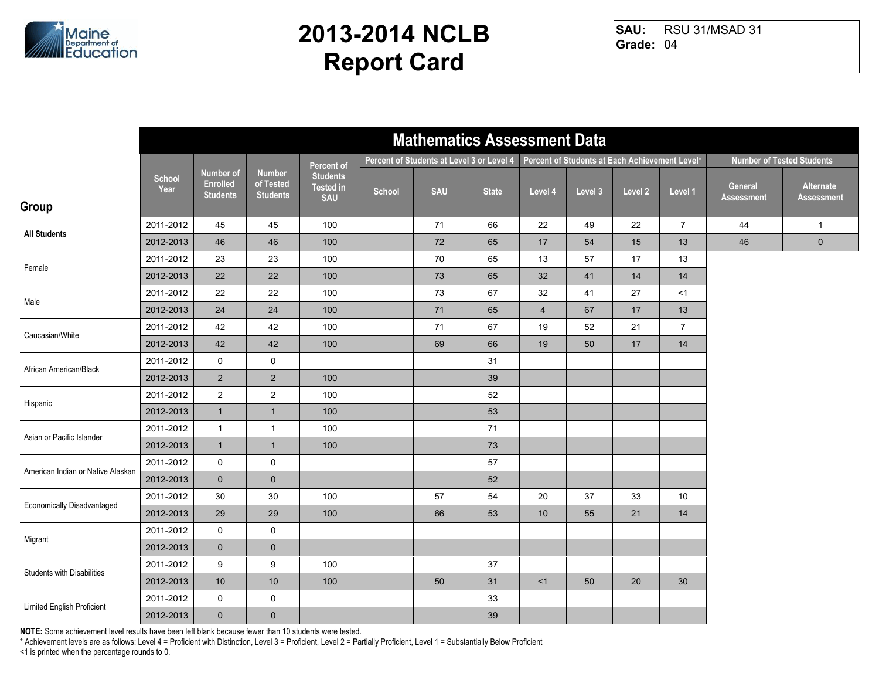

RSU 31/MSAD 31 **Grade:** 04 **SAU:**

|                                   |                       |                                                 |                                               |                                                   |        | <b>Mathematics Assessment Data</b>        |              |                |                                                |         |                |                       |                                  |
|-----------------------------------|-----------------------|-------------------------------------------------|-----------------------------------------------|---------------------------------------------------|--------|-------------------------------------------|--------------|----------------|------------------------------------------------|---------|----------------|-----------------------|----------------------------------|
|                                   |                       |                                                 |                                               | Percent of                                        |        | Percent of Students at Level 3 or Level 4 |              |                | Percent of Students at Each Achievement Level* |         |                |                       | <b>Number of Tested Students</b> |
| Group                             | <b>School</b><br>Year | Number of<br><b>Enrolled</b><br><b>Students</b> | <b>Number</b><br>of Tested<br><b>Students</b> | <b>Students</b><br><b>Tested in</b><br><b>SAU</b> | School | <b>SAU</b>                                | <b>State</b> | Level 4        | Level 3                                        | Level 2 | Level 1        | General<br>Assessment | Alternate<br><b>Assessment</b>   |
| <b>All Students</b>               | 2011-2012             | 45                                              | 45                                            | 100                                               |        | 71                                        | 66           | 22             | 49                                             | 22      | $\overline{7}$ | 44                    | $\mathbf{1}$                     |
|                                   | 2012-2013             | 46                                              | 46                                            | 100                                               |        | 72                                        | 65           | 17             | 54                                             | 15      | 13             | 46                    | $\mathbf 0$                      |
| Female                            | 2011-2012             | 23                                              | 23                                            | 100                                               |        | 70                                        | 65           | 13             | 57                                             | 17      | 13             |                       |                                  |
|                                   | 2012-2013             | 22                                              | 22                                            | 100                                               |        | 73                                        | 65           | 32             | 41                                             | 14      | 14             |                       |                                  |
| Male                              | 2011-2012             | 22                                              | 22                                            | 100                                               |        | 73                                        | 67           | 32             | 41                                             | 27      | $<$ 1          |                       |                                  |
|                                   | 2012-2013             | 24                                              | 24                                            | 100                                               |        | 71                                        | 65           | $\overline{4}$ | 67                                             | 17      | 13             |                       |                                  |
| Caucasian/White                   | 2011-2012             | 42                                              | 42                                            | 100                                               |        | 71                                        | 67           | 19             | 52                                             | 21      | $\overline{7}$ |                       |                                  |
|                                   | 2012-2013             | 42                                              | 42                                            | 100                                               |        | 69                                        | 66           | 19             | 50                                             | 17      | 14             |                       |                                  |
| African American/Black            | 2011-2012             | $\mathsf{O}$                                    | $\mathbf 0$                                   |                                                   |        |                                           | 31           |                |                                                |         |                |                       |                                  |
|                                   | 2012-2013             | $\overline{2}$                                  | $\overline{2}$                                | 100                                               |        |                                           | 39           |                |                                                |         |                |                       |                                  |
| Hispanic                          | 2011-2012             | $\overline{2}$                                  | $\overline{2}$                                | 100                                               |        |                                           | 52           |                |                                                |         |                |                       |                                  |
|                                   | 2012-2013             | $\mathbf{1}$                                    | $\mathbf{1}$                                  | 100                                               |        |                                           | 53           |                |                                                |         |                |                       |                                  |
| Asian or Pacific Islander         | 2011-2012             | $\mathbf{1}$                                    | $\mathbf{1}$                                  | 100                                               |        |                                           | 71           |                |                                                |         |                |                       |                                  |
|                                   | 2012-2013             | $\mathbf{1}$                                    | $\mathbf{1}$                                  | 100                                               |        |                                           | 73           |                |                                                |         |                |                       |                                  |
| American Indian or Native Alaskan | 2011-2012             | $\mathsf{O}$                                    | $\mathsf{O}\xspace$                           |                                                   |        |                                           | 57           |                |                                                |         |                |                       |                                  |
|                                   | 2012-2013             | $\mathbf{0}$                                    | $\mathbf 0$                                   |                                                   |        |                                           | 52           |                |                                                |         |                |                       |                                  |
| <b>Economically Disadvantaged</b> | 2011-2012             | 30                                              | 30                                            | 100                                               |        | 57                                        | 54           | 20             | 37                                             | 33      | 10             |                       |                                  |
|                                   | 2012-2013             | 29                                              | 29                                            | 100                                               |        | 66                                        | 53           | 10             | 55                                             | 21      | 14             |                       |                                  |
| Migrant                           | 2011-2012             | 0                                               | $\mathbf 0$                                   |                                                   |        |                                           |              |                |                                                |         |                |                       |                                  |
|                                   | 2012-2013             | $\mathbf 0$                                     | $\pmb{0}$                                     |                                                   |        |                                           |              |                |                                                |         |                |                       |                                  |
| <b>Students with Disabilities</b> | 2011-2012             | 9                                               | 9                                             | 100                                               |        |                                           | 37           |                |                                                |         |                |                       |                                  |
|                                   | 2012-2013             | $10$                                            | 10                                            | 100                                               |        | 50                                        | 31           | <1             | 50                                             | 20      | $30\,$         |                       |                                  |
| Limited English Proficient        | 2011-2012             | 0                                               | $\mathsf{O}$                                  |                                                   |        |                                           | 33           |                |                                                |         |                |                       |                                  |
|                                   | 2012-2013             | $\mathbf{0}$                                    | $\pmb{0}$                                     |                                                   |        |                                           | 39           |                |                                                |         |                |                       |                                  |

**NOTE:** Some achievement level results have been left blank because fewer than 10 students were tested.

\* Achievement levels are as follows: Level 4 = Proficient with Distinction, Level 3 = Proficient, Level 2 = Partially Proficient, Level 1 = Substantially Below Proficient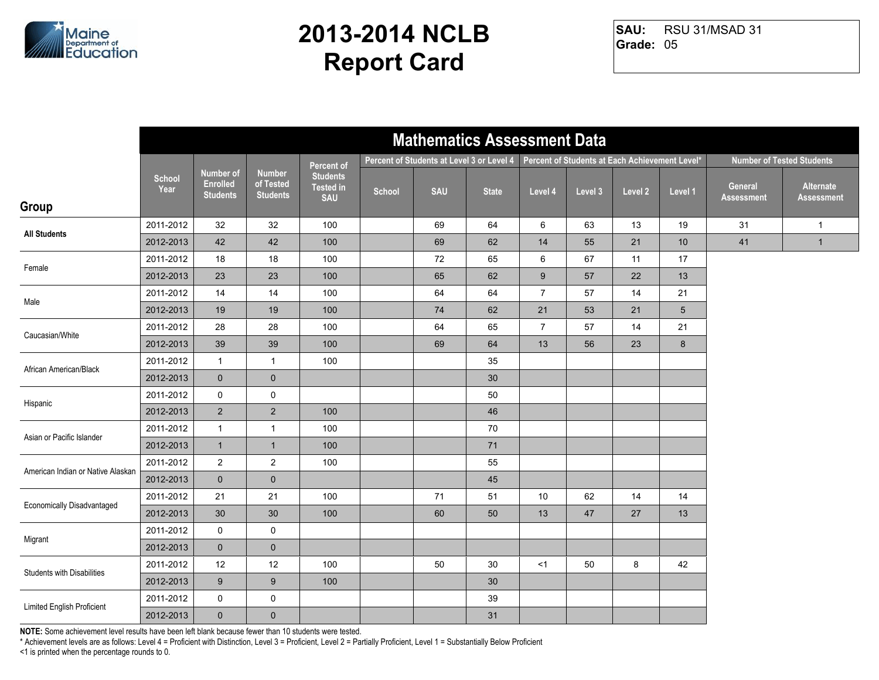

RSU 31/MSAD 31 **Grade:** 05 **SAU:**

|                                   |                       |                                                 |                                               |                                                   |        | <b>Mathematics Assessment Data</b>        |              |                |                                                |         |                 |                       |                                  |
|-----------------------------------|-----------------------|-------------------------------------------------|-----------------------------------------------|---------------------------------------------------|--------|-------------------------------------------|--------------|----------------|------------------------------------------------|---------|-----------------|-----------------------|----------------------------------|
|                                   |                       |                                                 |                                               | Percent of                                        |        | Percent of Students at Level 3 or Level 4 |              |                | Percent of Students at Each Achievement Level* |         |                 |                       | <b>Number of Tested Students</b> |
| Group                             | <b>School</b><br>Year | Number of<br><b>Enrolled</b><br><b>Students</b> | <b>Number</b><br>of Tested<br><b>Students</b> | <b>Students</b><br><b>Tested in</b><br><b>SAU</b> | School | <b>SAU</b>                                | <b>State</b> | Level 4        | Level 3                                        | Level 2 | Level 1         | General<br>Assessment | Alternate<br><b>Assessment</b>   |
| <b>All Students</b>               | 2011-2012             | 32                                              | 32                                            | 100                                               |        | 69                                        | 64           | 6              | 63                                             | 13      | 19              | 31                    | $\mathbf{1}$                     |
|                                   | 2012-2013             | 42                                              | 42                                            | 100                                               |        | 69                                        | 62           | 14             | 55                                             | 21      | 10              | 41                    | $\mathbf{1}$                     |
| Female                            | 2011-2012             | 18                                              | 18                                            | 100                                               |        | 72                                        | 65           | 6              | 67                                             | 11      | 17              |                       |                                  |
|                                   | 2012-2013             | 23                                              | 23                                            | 100                                               |        | 65                                        | 62           | $9\,$          | 57                                             | 22      | 13              |                       |                                  |
| Male                              | 2011-2012             | 14                                              | 14                                            | 100                                               |        | 64                                        | 64           | $\overline{7}$ | 57                                             | 14      | 21              |                       |                                  |
|                                   | 2012-2013             | 19                                              | 19                                            | 100                                               |        | 74                                        | 62           | 21             | 53                                             | 21      | $5\overline{)}$ |                       |                                  |
| Caucasian/White                   | 2011-2012             | 28                                              | 28                                            | 100                                               |        | 64                                        | 65           | $\overline{7}$ | 57                                             | 14      | 21              |                       |                                  |
|                                   | 2012-2013             | 39                                              | 39                                            | 100                                               |        | 69                                        | 64           | 13             | 56                                             | 23      | $8\phantom{1}$  |                       |                                  |
| African American/Black            | 2011-2012             | $\mathbf{1}$                                    | $\mathbf{1}$                                  | 100                                               |        |                                           | 35           |                |                                                |         |                 |                       |                                  |
|                                   | 2012-2013             | $\mathbf 0$                                     | $\pmb{0}$                                     |                                                   |        |                                           | 30           |                |                                                |         |                 |                       |                                  |
| Hispanic                          | 2011-2012             | $\mathsf{O}$                                    | $\mathbf 0$                                   |                                                   |        |                                           | 50           |                |                                                |         |                 |                       |                                  |
|                                   | 2012-2013             | $\overline{2}$                                  | $\overline{2}$                                | 100                                               |        |                                           | 46           |                |                                                |         |                 |                       |                                  |
| Asian or Pacific Islander         | 2011-2012             | $\mathbf{1}$                                    | $\mathbf{1}$                                  | 100                                               |        |                                           | 70           |                |                                                |         |                 |                       |                                  |
|                                   | 2012-2013             | $\mathbf{1}$                                    | $\mathbf{1}$                                  | 100                                               |        |                                           | 71           |                |                                                |         |                 |                       |                                  |
| American Indian or Native Alaskan | 2011-2012             | $\overline{2}$                                  | $\overline{2}$                                | 100                                               |        |                                           | 55           |                |                                                |         |                 |                       |                                  |
|                                   | 2012-2013             | $\mathbf{0}$                                    | $\mathbf 0$                                   |                                                   |        |                                           | 45           |                |                                                |         |                 |                       |                                  |
| <b>Economically Disadvantaged</b> | 2011-2012             | 21                                              | 21                                            | 100                                               |        | 71                                        | 51           | 10             | 62                                             | 14      | 14              |                       |                                  |
|                                   | 2012-2013             | 30                                              | 30                                            | 100                                               |        | 60                                        | 50           | 13             | 47                                             | 27      | 13              |                       |                                  |
| Migrant                           | 2011-2012             | $\mathbf 0$                                     | $\mathbf 0$                                   |                                                   |        |                                           |              |                |                                                |         |                 |                       |                                  |
|                                   | 2012-2013             | $\mathbf{0}$                                    | $\pmb{0}$                                     |                                                   |        |                                           |              |                |                                                |         |                 |                       |                                  |
| <b>Students with Disabilities</b> | 2011-2012             | 12                                              | 12                                            | 100                                               |        | 50                                        | 30           | <1             | 50                                             | 8       | 42              |                       |                                  |
|                                   | 2012-2013             | 9                                               | $\boldsymbol{9}$                              | 100                                               |        |                                           | 30           |                |                                                |         |                 |                       |                                  |
| Limited English Proficient        | 2011-2012             | 0                                               | $\mathsf{O}$                                  |                                                   |        |                                           | 39           |                |                                                |         |                 |                       |                                  |
|                                   | 2012-2013             | $\mathbf 0$                                     | $\pmb{0}$                                     |                                                   |        |                                           | 31           |                |                                                |         |                 |                       |                                  |

**NOTE:** Some achievement level results have been left blank because fewer than 10 students were tested.

\* Achievement levels are as follows: Level 4 = Proficient with Distinction, Level 3 = Proficient, Level 2 = Partially Proficient, Level 1 = Substantially Below Proficient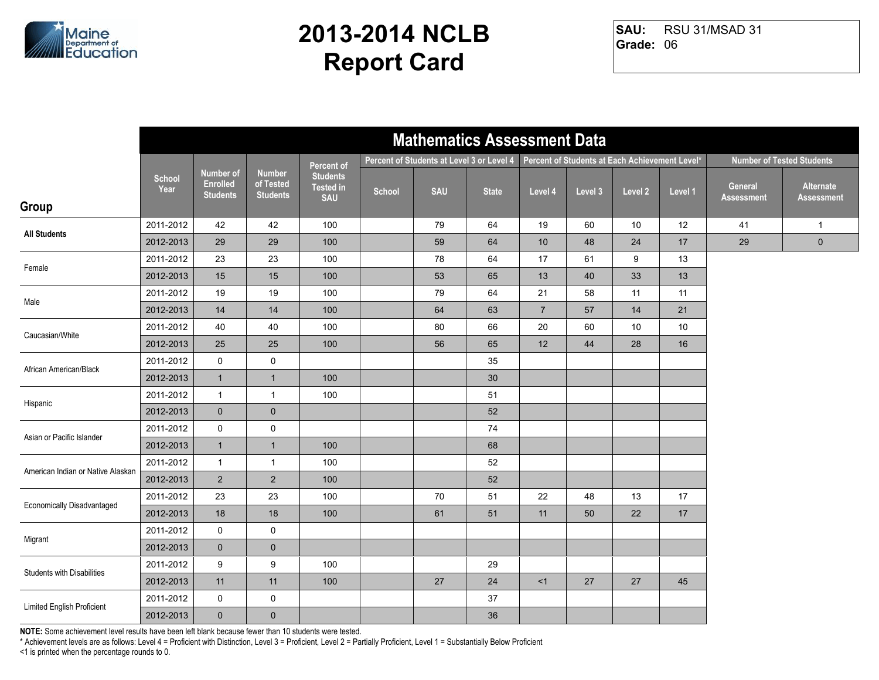

RSU 31/MSAD 31 **Grade:** 06 **SAU:**

|                                   |                |                                                        |                                               |                                                   |        | <b>Mathematics Assessment Data</b>        |              |                |                                                |         |         |                              |                                  |
|-----------------------------------|----------------|--------------------------------------------------------|-----------------------------------------------|---------------------------------------------------|--------|-------------------------------------------|--------------|----------------|------------------------------------------------|---------|---------|------------------------------|----------------------------------|
|                                   |                |                                                        |                                               | <b>Percent of</b>                                 |        | Percent of Students at Level 3 or Level 4 |              |                | Percent of Students at Each Achievement Level* |         |         |                              | <b>Number of Tested Students</b> |
| Group                             | School<br>Year | <b>Number of</b><br><b>Enrolled</b><br><b>Students</b> | <b>Number</b><br>of Tested<br><b>Students</b> | <b>Students</b><br><b>Tested in</b><br><b>SAU</b> | School | <b>SAU</b>                                | <b>State</b> | Level 4        | Level 3                                        | Level 2 | Level 1 | General<br><b>Assessment</b> | Alternate<br><b>Assessment</b>   |
|                                   | 2011-2012      | 42                                                     | 42                                            | 100                                               |        | 79                                        | 64           | 19             | 60                                             | 10      | 12      | 41                           | $\mathbf{1}$                     |
| <b>All Students</b>               | 2012-2013      | 29                                                     | 29                                            | 100                                               |        | 59                                        | 64           | 10             | 48                                             | 24      | 17      | 29                           | $\pmb{0}$                        |
|                                   | 2011-2012      | 23                                                     | 23                                            | 100                                               |        | 78                                        | 64           | 17             | 61                                             | 9       | 13      |                              |                                  |
| Female                            | 2012-2013      | 15                                                     | 15                                            | 100                                               |        | 53                                        | 65           | 13             | 40                                             | 33      | 13      |                              |                                  |
| Male                              | 2011-2012      | 19                                                     | 19                                            | 100                                               |        | 79                                        | 64           | 21             | 58                                             | 11      | 11      |                              |                                  |
|                                   | 2012-2013      | 14                                                     | 14                                            | 100                                               |        | 64                                        | 63           | $\overline{7}$ | 57                                             | 14      | 21      |                              |                                  |
| Caucasian/White                   | 2011-2012      | 40                                                     | 40                                            | 100                                               |        | 80                                        | 66           | 20             | 60                                             | 10      | 10      |                              |                                  |
|                                   | 2012-2013      | 25                                                     | 25                                            | 100                                               |        | 56                                        | 65           | 12             | 44                                             | 28      | 16      |                              |                                  |
| African American/Black            | 2011-2012      | 0                                                      | $\mathbf 0$                                   |                                                   |        |                                           | 35           |                |                                                |         |         |                              |                                  |
|                                   | 2012-2013      | $\mathbf{1}$                                           | $\mathbf{1}$                                  | 100                                               |        |                                           | 30           |                |                                                |         |         |                              |                                  |
| Hispanic                          | 2011-2012      | $\mathbf{1}$                                           | $\mathbf{1}$                                  | 100                                               |        |                                           | 51           |                |                                                |         |         |                              |                                  |
|                                   | 2012-2013      | $\mathbf 0$                                            | $\pmb{0}$                                     |                                                   |        |                                           | 52           |                |                                                |         |         |                              |                                  |
| Asian or Pacific Islander         | 2011-2012      | 0                                                      | $\pmb{0}$                                     |                                                   |        |                                           | 74           |                |                                                |         |         |                              |                                  |
|                                   | 2012-2013      | $\mathbf{1}$                                           | $\mathbf{1}$                                  | 100                                               |        |                                           | 68           |                |                                                |         |         |                              |                                  |
| American Indian or Native Alaskan | 2011-2012      | $\mathbf{1}$                                           | $\mathbf{1}$                                  | 100                                               |        |                                           | 52           |                |                                                |         |         |                              |                                  |
|                                   | 2012-2013      | $2^{\circ}$                                            | $\overline{2}$                                | 100                                               |        |                                           | 52           |                |                                                |         |         |                              |                                  |
| Economically Disadvantaged        | 2011-2012      | 23                                                     | 23                                            | 100                                               |        | 70                                        | 51           | 22             | 48                                             | 13      | 17      |                              |                                  |
|                                   | 2012-2013      | 18                                                     | 18                                            | 100                                               |        | 61                                        | 51           | 11             | 50                                             | 22      | 17      |                              |                                  |
| Migrant                           | 2011-2012      | 0                                                      | $\pmb{0}$                                     |                                                   |        |                                           |              |                |                                                |         |         |                              |                                  |
|                                   | 2012-2013      | $\mathbf 0$                                            | $\mathbf 0$                                   |                                                   |        |                                           |              |                |                                                |         |         |                              |                                  |
| <b>Students with Disabilities</b> | 2011-2012      | 9                                                      | $\boldsymbol{9}$                              | 100                                               |        |                                           | 29           |                |                                                |         |         |                              |                                  |
|                                   | 2012-2013      | 11                                                     | 11                                            | 100                                               |        | 27                                        | 24           | <1             | 27                                             | 27      | 45      |                              |                                  |
| Limited English Proficient        | 2011-2012      | 0                                                      | $\pmb{0}$                                     |                                                   |        |                                           | 37           |                |                                                |         |         |                              |                                  |
|                                   | 2012-2013      | $\mathbf 0$                                            | $\pmb{0}$                                     |                                                   |        |                                           | 36           |                |                                                |         |         |                              |                                  |

**NOTE:** Some achievement level results have been left blank because fewer than 10 students were tested.

\* Achievement levels are as follows: Level 4 = Proficient with Distinction, Level 3 = Proficient, Level 2 = Partially Proficient, Level 1 = Substantially Below Proficient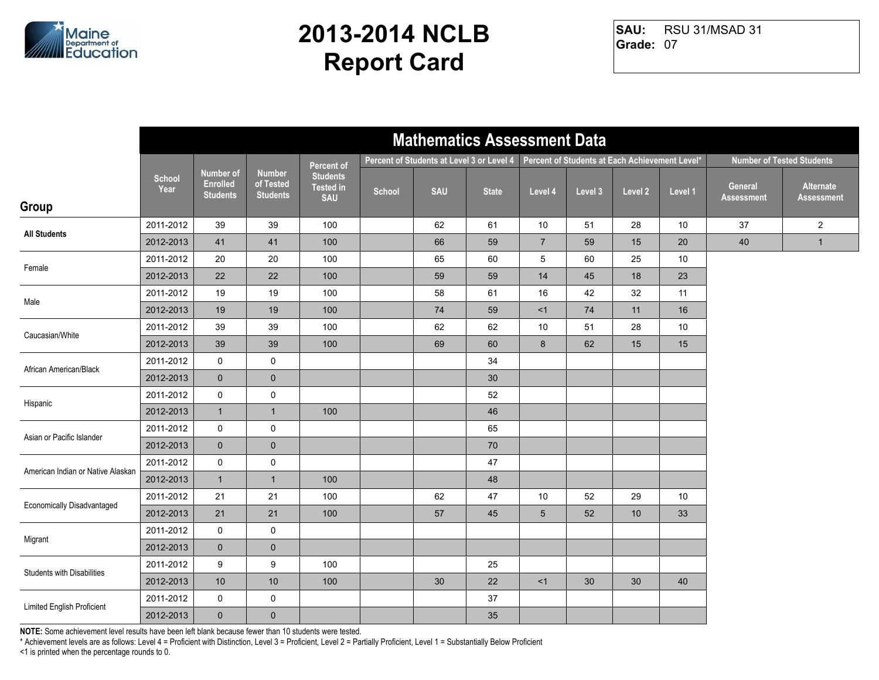

RSU 31/MSAD 31 **Grade:** 07 **SAU:**

|                                   |                       |                                                 |                                               |                                                   |        | <b>Mathematics Assessment Data</b>        |              |                 |                                                |         |         |                       |                                  |
|-----------------------------------|-----------------------|-------------------------------------------------|-----------------------------------------------|---------------------------------------------------|--------|-------------------------------------------|--------------|-----------------|------------------------------------------------|---------|---------|-----------------------|----------------------------------|
|                                   |                       |                                                 |                                               | Percent of                                        |        | Percent of Students at Level 3 or Level 4 |              |                 | Percent of Students at Each Achievement Level* |         |         |                       | <b>Number of Tested Students</b> |
| Group                             | <b>School</b><br>Year | Number of<br><b>Enrolled</b><br><b>Students</b> | <b>Number</b><br>of Tested<br><b>Students</b> | <b>Students</b><br><b>Tested in</b><br><b>SAU</b> | School | <b>SAU</b>                                | <b>State</b> | Level 4         | Level 3                                        | Level 2 | Level 1 | General<br>Assessment | Alternate<br><b>Assessment</b>   |
|                                   | 2011-2012             | 39                                              | 39                                            | 100                                               |        | 62                                        | 61           | 10              | 51                                             | 28      | 10      | 37                    | $\overline{c}$                   |
| <b>All Students</b>               | 2012-2013             | 41                                              | 41                                            | 100                                               |        | 66                                        | 59           | $\overline{7}$  | 59                                             | 15      | 20      | 40                    | $\mathbf{1}$                     |
| Female                            | 2011-2012             | 20                                              | 20                                            | 100                                               |        | 65                                        | 60           | 5               | 60                                             | 25      | 10      |                       |                                  |
|                                   | 2012-2013             | 22                                              | 22                                            | 100                                               |        | 59                                        | 59           | 14              | 45                                             | 18      | 23      |                       |                                  |
| Male                              | 2011-2012             | 19                                              | 19                                            | 100                                               |        | 58                                        | 61           | 16              | 42                                             | 32      | 11      |                       |                                  |
|                                   | 2012-2013             | 19                                              | 19                                            | 100                                               |        | 74                                        | 59           | <1              | 74                                             | 11      | 16      |                       |                                  |
| Caucasian/White                   | 2011-2012             | 39                                              | 39                                            | 100                                               |        | 62                                        | 62           | 10              | 51                                             | 28      | 10      |                       |                                  |
|                                   | 2012-2013             | 39                                              | 39                                            | 100                                               |        | 69                                        | 60           | 8               | 62                                             | 15      | 15      |                       |                                  |
| African American/Black            | 2011-2012             | $\mathsf{O}$                                    | $\pmb{0}$                                     |                                                   |        |                                           | 34           |                 |                                                |         |         |                       |                                  |
|                                   | 2012-2013             | $\mathbf 0$                                     | $\pmb{0}$                                     |                                                   |        |                                           | 30           |                 |                                                |         |         |                       |                                  |
| Hispanic                          | 2011-2012             | $\mathsf{O}$                                    | $\pmb{0}$                                     |                                                   |        |                                           | 52           |                 |                                                |         |         |                       |                                  |
|                                   | 2012-2013             | $\mathbf{1}$                                    | $\overline{1}$                                | 100                                               |        |                                           | 46           |                 |                                                |         |         |                       |                                  |
| Asian or Pacific Islander         | 2011-2012             | $\mathsf{O}$                                    | $\mathbf 0$                                   |                                                   |        |                                           | 65           |                 |                                                |         |         |                       |                                  |
|                                   | 2012-2013             | $\mathbf 0$                                     | $\mathbf 0$                                   |                                                   |        |                                           | 70           |                 |                                                |         |         |                       |                                  |
| American Indian or Native Alaskan | 2011-2012             | $\mathsf{O}$                                    | $\pmb{0}$                                     |                                                   |        |                                           | 47           |                 |                                                |         |         |                       |                                  |
|                                   | 2012-2013             | $\mathbf{1}$                                    | $\overline{1}$                                | 100                                               |        |                                           | 48           |                 |                                                |         |         |                       |                                  |
| <b>Economically Disadvantaged</b> | 2011-2012             | 21                                              | 21                                            | 100                                               |        | 62                                        | 47           | 10              | 52                                             | 29      | 10      |                       |                                  |
|                                   | 2012-2013             | 21                                              | 21                                            | 100                                               |        | 57                                        | 45           | $5\overline{)}$ | 52                                             | 10      | 33      |                       |                                  |
| Migrant                           | 2011-2012             | $\mathbf 0$                                     | $\mathbf 0$                                   |                                                   |        |                                           |              |                 |                                                |         |         |                       |                                  |
|                                   | 2012-2013             | $\mathbf 0$                                     | $\pmb{0}$                                     |                                                   |        |                                           |              |                 |                                                |         |         |                       |                                  |
| <b>Students with Disabilities</b> | 2011-2012             | 9                                               | 9                                             | 100                                               |        |                                           | 25           |                 |                                                |         |         |                       |                                  |
|                                   | 2012-2013             | $10$                                            | 10                                            | 100                                               |        | 30                                        | 22           | <1              | 30                                             | 30      | 40      |                       |                                  |
| Limited English Proficient        | 2011-2012             | 0                                               | $\mathsf{O}$                                  |                                                   |        |                                           | 37           |                 |                                                |         |         |                       |                                  |
|                                   | 2012-2013             | $\mathbf 0$                                     | $\pmb{0}$                                     |                                                   |        |                                           | 35           |                 |                                                |         |         |                       |                                  |

**NOTE:** Some achievement level results have been left blank because fewer than 10 students were tested.

\* Achievement levels are as follows: Level 4 = Proficient with Distinction, Level 3 = Proficient, Level 2 = Partially Proficient, Level 1 = Substantially Below Proficient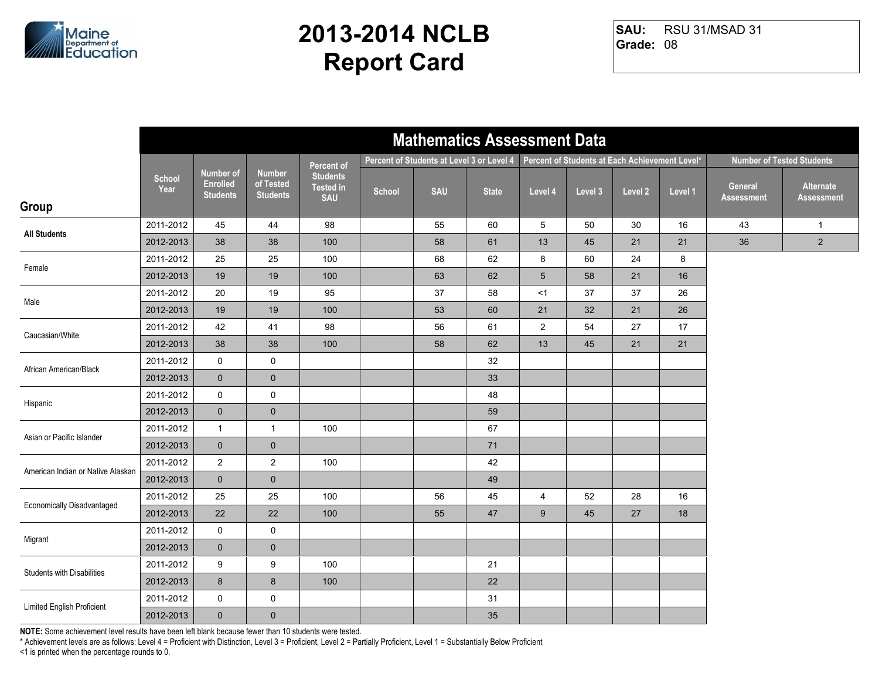

RSU 31/MSAD 31 **Grade:** 08 **SAU:**

|                                   | <b>Mathematics Assessment Data</b> |                                                 |                                               |                                                   |        |                                           |              |                |                                                |         |         |                              |                                  |
|-----------------------------------|------------------------------------|-------------------------------------------------|-----------------------------------------------|---------------------------------------------------|--------|-------------------------------------------|--------------|----------------|------------------------------------------------|---------|---------|------------------------------|----------------------------------|
|                                   |                                    |                                                 |                                               | Percent of                                        |        | Percent of Students at Level 3 or Level 4 |              |                | Percent of Students at Each Achievement Level* |         |         |                              | <b>Number of Tested Students</b> |
| Group                             | <b>School</b><br>Year              | Number of<br><b>Enrolled</b><br><b>Students</b> | <b>Number</b><br>of Tested<br><b>Students</b> | <b>Students</b><br><b>Tested in</b><br><b>SAU</b> | School | <b>SAU</b>                                | <b>State</b> | Level 4        | Level 3                                        | Level 2 | Level 1 | General<br><b>Assessment</b> | Alternate<br><b>Assessment</b>   |
|                                   | 2011-2012                          | 45                                              | 44                                            | 98                                                |        | 55                                        | 60           | 5              | 50                                             | 30      | 16      | 43                           | $\mathbf{1}$                     |
| <b>All Students</b>               | 2012-2013                          | 38                                              | 38                                            | 100                                               |        | 58                                        | 61           | 13             | 45                                             | 21      | 21      | 36                           | $\overline{2}$                   |
| Female                            | 2011-2012                          | 25                                              | 25                                            | 100                                               |        | 68                                        | 62           | 8              | 60                                             | 24      | 8       |                              |                                  |
|                                   | 2012-2013                          | 19                                              | 19                                            | 100                                               |        | 63                                        | 62           | $5\phantom{1}$ | 58                                             | 21      | 16      |                              |                                  |
| Male                              | 2011-2012                          | 20                                              | 19                                            | 95                                                |        | 37                                        | 58           | <1             | 37                                             | 37      | 26      |                              |                                  |
|                                   | 2012-2013                          | 19                                              | 19                                            | 100                                               |        | 53                                        | 60           | 21             | 32                                             | 21      | 26      |                              |                                  |
| Caucasian/White                   | 2011-2012                          | 42                                              | 41                                            | 98                                                |        | 56                                        | 61           | $\overline{2}$ | 54                                             | 27      | 17      |                              |                                  |
|                                   | 2012-2013                          | 38                                              | 38                                            | 100                                               |        | 58                                        | 62           | 13             | 45                                             | 21      | 21      |                              |                                  |
| African American/Black            | 2011-2012                          | 0                                               | $\mathbf 0$                                   |                                                   |        |                                           | 32           |                |                                                |         |         |                              |                                  |
|                                   | 2012-2013                          | $\mathbf 0$                                     | $\mathbf 0$                                   |                                                   |        |                                           | 33           |                |                                                |         |         |                              |                                  |
| Hispanic                          | 2011-2012                          | $\mathsf{O}$                                    | $\mathbf 0$                                   |                                                   |        |                                           | 48           |                |                                                |         |         |                              |                                  |
|                                   | 2012-2013                          | $\mathbf 0$                                     | $\pmb{0}$                                     |                                                   |        |                                           | 59           |                |                                                |         |         |                              |                                  |
| Asian or Pacific Islander         | 2011-2012                          | $\mathbf{1}$                                    | $\mathbf{1}$                                  | 100                                               |        |                                           | 67           |                |                                                |         |         |                              |                                  |
|                                   | 2012-2013                          | $\overline{0}$                                  | $\pmb{0}$                                     |                                                   |        |                                           | 71           |                |                                                |         |         |                              |                                  |
| American Indian or Native Alaskan | 2011-2012                          | $\overline{2}$                                  | $\overline{2}$                                | 100                                               |        |                                           | 42           |                |                                                |         |         |                              |                                  |
|                                   | 2012-2013                          | $\mathbf 0$                                     | $\mathbf 0$                                   |                                                   |        |                                           | 49           |                |                                                |         |         |                              |                                  |
| Economically Disadvantaged        | 2011-2012                          | 25                                              | 25                                            | 100                                               |        | 56                                        | 45           | $\overline{4}$ | 52                                             | 28      | 16      |                              |                                  |
|                                   | 2012-2013                          | 22                                              | 22                                            | 100                                               |        | 55                                        | 47           | 9              | 45                                             | 27      | 18      |                              |                                  |
| Migrant                           | 2011-2012                          | 0                                               | 0                                             |                                                   |        |                                           |              |                |                                                |         |         |                              |                                  |
|                                   | 2012-2013                          | $\mathbf 0$                                     | $\mathbf 0$                                   |                                                   |        |                                           |              |                |                                                |         |         |                              |                                  |
| <b>Students with Disabilities</b> | 2011-2012                          | 9                                               | $\boldsymbol{9}$                              | 100                                               |        |                                           | 21           |                |                                                |         |         |                              |                                  |
|                                   | 2012-2013                          | 8                                               | $\bf 8$                                       | 100                                               |        |                                           | 22           |                |                                                |         |         |                              |                                  |
| Limited English Proficient        | 2011-2012                          | 0                                               | 0                                             |                                                   |        |                                           | 31           |                |                                                |         |         |                              |                                  |
|                                   | 2012-2013                          | $\overline{0}$                                  | $\mathbf 0$                                   |                                                   |        |                                           | 35           |                |                                                |         |         |                              |                                  |

**NOTE:** Some achievement level results have been left blank because fewer than 10 students were tested.

\* Achievement levels are as follows: Level 4 = Proficient with Distinction, Level 3 = Proficient, Level 2 = Partially Proficient, Level 1 = Substantially Below Proficient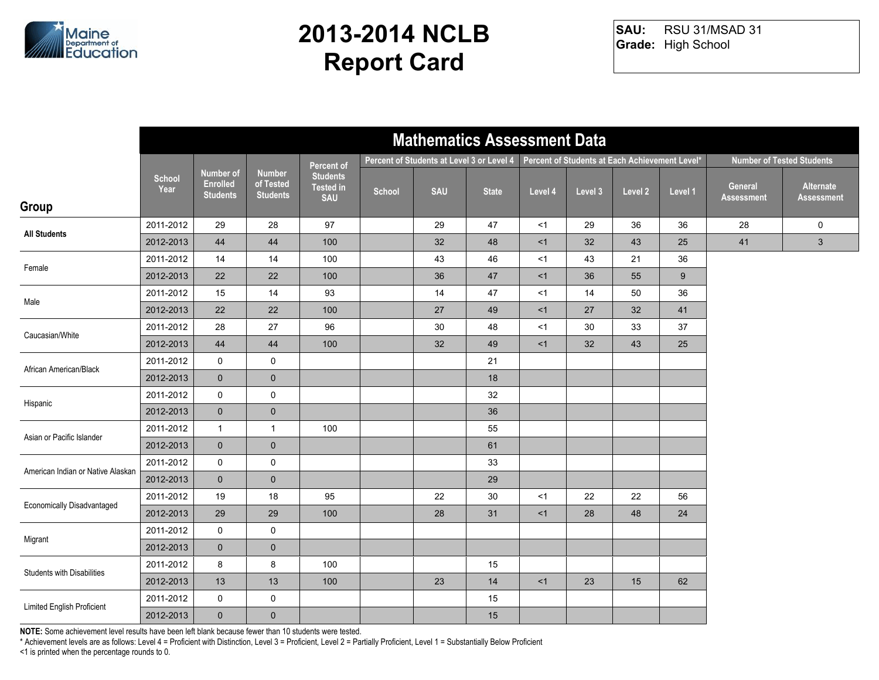

RSU 31/MSAD 31 **Grade:** High School **SAU:**

|                                   | <b>Mathematics Assessment Data</b> |                                                 |                                               |                                                   |        |                                           |              |         |                                                |         |         |                              |                                  |
|-----------------------------------|------------------------------------|-------------------------------------------------|-----------------------------------------------|---------------------------------------------------|--------|-------------------------------------------|--------------|---------|------------------------------------------------|---------|---------|------------------------------|----------------------------------|
|                                   |                                    |                                                 |                                               | Percent of                                        |        | Percent of Students at Level 3 or Level 4 |              |         | Percent of Students at Each Achievement Level* |         |         |                              | <b>Number of Tested Students</b> |
| Group                             | <b>School</b><br>Year              | Number of<br><b>Enrolled</b><br><b>Students</b> | <b>Number</b><br>of Tested<br><b>Students</b> | <b>Students</b><br><b>Tested in</b><br><b>SAU</b> | School | <b>SAU</b>                                | <b>State</b> | Level 4 | Level 3                                        | Level 2 | Level 1 | General<br><b>Assessment</b> | Alternate<br><b>Assessment</b>   |
| <b>All Students</b>               | 2011-2012                          | 29                                              | 28                                            | 97                                                |        | 29                                        | 47           | <1      | 29                                             | 36      | 36      | 28                           | 0                                |
|                                   | 2012-2013                          | 44                                              | 44                                            | 100                                               |        | 32                                        | 48           | <1      | 32                                             | 43      | 25      | 41                           | $\mathbf{3}$                     |
| Female                            | 2011-2012                          | 14                                              | 14                                            | 100                                               |        | 43                                        | 46           | $<$ 1   | 43                                             | 21      | 36      |                              |                                  |
|                                   | 2012-2013                          | 22                                              | 22                                            | 100                                               |        | 36                                        | 47           | <1      | 36                                             | 55      | 9       |                              |                                  |
| Male                              | 2011-2012                          | 15                                              | 14                                            | 93                                                |        | 14                                        | 47           | <1      | 14                                             | 50      | 36      |                              |                                  |
|                                   | 2012-2013                          | 22                                              | 22                                            | 100                                               |        | 27                                        | 49           | <1      | 27                                             | 32      | 41      |                              |                                  |
| Caucasian/White                   | 2011-2012                          | 28                                              | $27\,$                                        | 96                                                |        | $30\,$                                    | 48           | $<$ 1   | 30                                             | 33      | 37      |                              |                                  |
|                                   | 2012-2013                          | 44                                              | 44                                            | 100                                               |        | 32                                        | 49           | <1      | 32                                             | 43      | 25      |                              |                                  |
| African American/Black            | 2011-2012                          | 0                                               | $\mathbf 0$                                   |                                                   |        |                                           | 21           |         |                                                |         |         |                              |                                  |
|                                   | 2012-2013                          | $\mathbf 0$                                     | $\mathbf 0$                                   |                                                   |        |                                           | 18           |         |                                                |         |         |                              |                                  |
| Hispanic                          | 2011-2012                          | $\mathsf{O}$                                    | $\mathbf 0$                                   |                                                   |        |                                           | 32           |         |                                                |         |         |                              |                                  |
|                                   | 2012-2013                          | $\mathbf 0$                                     | $\pmb{0}$                                     |                                                   |        |                                           | 36           |         |                                                |         |         |                              |                                  |
| Asian or Pacific Islander         | 2011-2012                          | $\mathbf{1}$                                    | $\mathbf{1}$                                  | 100                                               |        |                                           | 55           |         |                                                |         |         |                              |                                  |
|                                   | 2012-2013                          | $\overline{0}$                                  | $\pmb{0}$                                     |                                                   |        |                                           | 61           |         |                                                |         |         |                              |                                  |
| American Indian or Native Alaskan | 2011-2012                          | 0                                               | 0                                             |                                                   |        |                                           | 33           |         |                                                |         |         |                              |                                  |
|                                   | 2012-2013                          | $\mathbf 0$                                     | $\mathbf 0$                                   |                                                   |        |                                           | 29           |         |                                                |         |         |                              |                                  |
| Economically Disadvantaged        | 2011-2012                          | 19                                              | 18                                            | 95                                                |        | 22                                        | $30\,$       | <1      | 22                                             | 22      | 56      |                              |                                  |
|                                   | 2012-2013                          | 29                                              | 29                                            | 100                                               |        | 28                                        | 31           | <1      | 28                                             | 48      | 24      |                              |                                  |
| Migrant                           | 2011-2012                          | 0                                               | 0                                             |                                                   |        |                                           |              |         |                                                |         |         |                              |                                  |
|                                   | 2012-2013                          | $\mathbf 0$                                     | $\pmb{0}$                                     |                                                   |        |                                           |              |         |                                                |         |         |                              |                                  |
| <b>Students with Disabilities</b> | 2011-2012                          | 8                                               | 8                                             | 100                                               |        |                                           | 15           |         |                                                |         |         |                              |                                  |
|                                   | 2012-2013                          | 13                                              | 13                                            | 100                                               |        | 23                                        | 14           | <1      | 23                                             | 15      | 62      |                              |                                  |
| Limited English Proficient        | 2011-2012                          | 0                                               | 0                                             |                                                   |        |                                           | 15           |         |                                                |         |         |                              |                                  |
|                                   | 2012-2013                          | $\overline{0}$                                  | $\mathbf 0$                                   |                                                   |        |                                           | 15           |         |                                                |         |         |                              |                                  |

**NOTE:** Some achievement level results have been left blank because fewer than 10 students were tested.

\* Achievement levels are as follows: Level 4 = Proficient with Distinction, Level 3 = Proficient, Level 2 = Partially Proficient, Level 1 = Substantially Below Proficient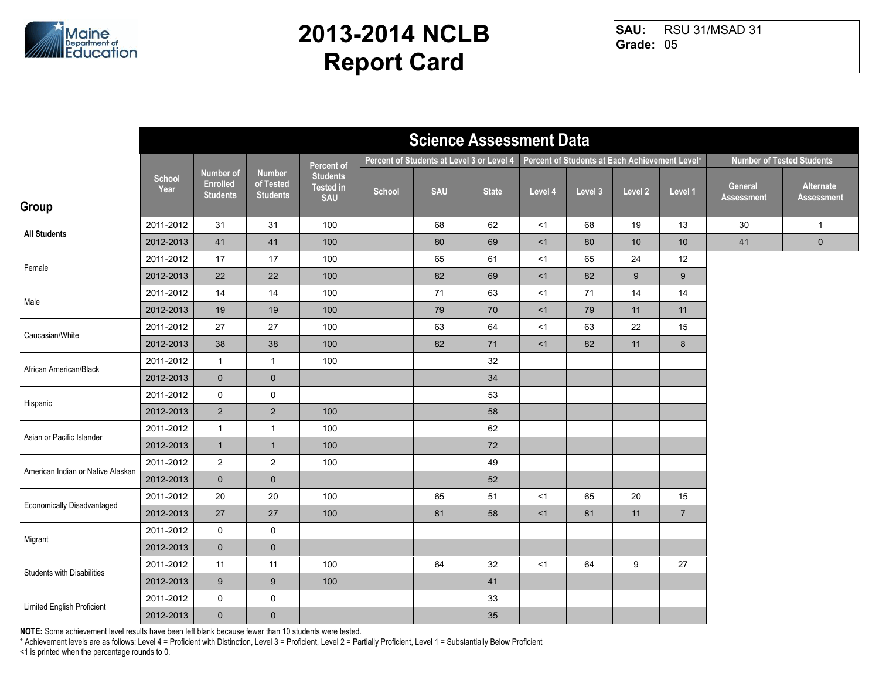

RSU 31/MSAD 31 **Grade:** 05 **SAU:**

|                                   | <b>Science Assessment Data</b> |                                                 |                                               |                                                   |        |                                           |              |         |                                                |                  |                                  |                       |                                |
|-----------------------------------|--------------------------------|-------------------------------------------------|-----------------------------------------------|---------------------------------------------------|--------|-------------------------------------------|--------------|---------|------------------------------------------------|------------------|----------------------------------|-----------------------|--------------------------------|
|                                   |                                |                                                 |                                               | Percent of                                        |        | Percent of Students at Level 3 or Level 4 |              |         | Percent of Students at Each Achievement Level* |                  | <b>Number of Tested Students</b> |                       |                                |
| Group                             | <b>School</b><br>Year          | Number of<br><b>Enrolled</b><br><b>Students</b> | <b>Number</b><br>of Tested<br><b>Students</b> | <b>Students</b><br><b>Tested in</b><br><b>SAU</b> | School | <b>SAU</b>                                | <b>State</b> | Level 4 | Level 3                                        | Level 2          | Level 1                          | General<br>Assessment | Alternate<br><b>Assessment</b> |
|                                   | 2011-2012                      | 31                                              | 31                                            | 100                                               |        | 68                                        | 62           | $<$ 1   | 68                                             | 19               | 13                               | 30                    | $\mathbf{1}$                   |
| <b>All Students</b>               | 2012-2013                      | 41                                              | 41                                            | 100                                               |        | 80                                        | 69           | < 1     | 80                                             | 10               | 10                               | 41                    | $\mathbf 0$                    |
| Female                            | 2011-2012                      | 17                                              | 17                                            | 100                                               |        | 65                                        | 61           | <1      | 65                                             | 24               | 12                               |                       |                                |
|                                   | 2012-2013                      | 22                                              | 22                                            | 100                                               |        | 82                                        | 69           | <1      | 82                                             | $\boldsymbol{9}$ | 9                                |                       |                                |
| Male                              | 2011-2012                      | 14                                              | 14                                            | 100                                               |        | 71                                        | 63           | $<$ 1   | 71                                             | 14               | 14                               |                       |                                |
|                                   | 2012-2013                      | 19                                              | 19                                            | 100                                               |        | 79                                        | 70           | <1      | 79                                             | 11               | 11                               |                       |                                |
| Caucasian/White                   | 2011-2012                      | 27                                              | 27                                            | 100                                               |        | 63                                        | 64           | <1      | 63                                             | 22               | 15                               |                       |                                |
|                                   | 2012-2013                      | 38                                              | 38                                            | 100                                               |        | 82                                        | 71           | <1      | 82                                             | 11               | $8\phantom{1}$                   |                       |                                |
| African American/Black            | 2011-2012                      | $\mathbf{1}$                                    | $\mathbf{1}$                                  | 100                                               |        |                                           | 32           |         |                                                |                  |                                  |                       |                                |
|                                   | 2012-2013                      | $\mathbf 0$                                     | $\pmb{0}$                                     |                                                   |        |                                           | 34           |         |                                                |                  |                                  |                       |                                |
| Hispanic                          | 2011-2012                      | $\mathsf{O}$                                    | $\mathbf 0$                                   |                                                   |        |                                           | 53           |         |                                                |                  |                                  |                       |                                |
|                                   | 2012-2013                      | $\overline{2}$                                  | $\overline{2}$                                | 100                                               |        |                                           | 58           |         |                                                |                  |                                  |                       |                                |
| Asian or Pacific Islander         | 2011-2012                      | $\mathbf{1}$                                    | $\mathbf{1}$                                  | 100                                               |        |                                           | 62           |         |                                                |                  |                                  |                       |                                |
|                                   | 2012-2013                      | $\mathbf{1}$                                    | $\mathbf{1}$                                  | 100                                               |        |                                           | 72           |         |                                                |                  |                                  |                       |                                |
| American Indian or Native Alaskan | 2011-2012                      | $\overline{2}$                                  | $\overline{2}$                                | 100                                               |        |                                           | 49           |         |                                                |                  |                                  |                       |                                |
|                                   | 2012-2013                      | $\mathbf 0$                                     | $\mathbf 0$                                   |                                                   |        |                                           | 52           |         |                                                |                  |                                  |                       |                                |
| <b>Economically Disadvantaged</b> | 2011-2012                      | 20                                              | 20                                            | 100                                               |        | 65                                        | 51           | <1      | 65                                             | 20               | 15                               |                       |                                |
|                                   | 2012-2013                      | 27                                              | 27                                            | 100                                               |        | 81                                        | 58           | <1      | 81                                             | 11               | $\overline{7}$                   |                       |                                |
| Migrant                           | 2011-2012                      | $\mathbf 0$                                     | $\mathbf 0$                                   |                                                   |        |                                           |              |         |                                                |                  |                                  |                       |                                |
|                                   | 2012-2013                      | $\mathbf{0}$                                    | $\pmb{0}$                                     |                                                   |        |                                           |              |         |                                                |                  |                                  |                       |                                |
| <b>Students with Disabilities</b> | 2011-2012                      | 11                                              | 11                                            | 100                                               |        | 64                                        | 32           | <1      | 64                                             | 9                | 27                               |                       |                                |
|                                   | 2012-2013                      | 9                                               | $\boldsymbol{9}$                              | 100                                               |        |                                           | 41           |         |                                                |                  |                                  |                       |                                |
| Limited English Proficient        | 2011-2012                      | 0                                               | $\mathsf{O}$                                  |                                                   |        |                                           | 33           |         |                                                |                  |                                  |                       |                                |
|                                   | 2012-2013                      | $\mathbf{0}$                                    | $\pmb{0}$                                     |                                                   |        |                                           | 35           |         |                                                |                  |                                  |                       |                                |

**NOTE:** Some achievement level results have been left blank because fewer than 10 students were tested.

\* Achievement levels are as follows: Level 4 = Proficient with Distinction, Level 3 = Proficient, Level 2 = Partially Proficient, Level 1 = Substantially Below Proficient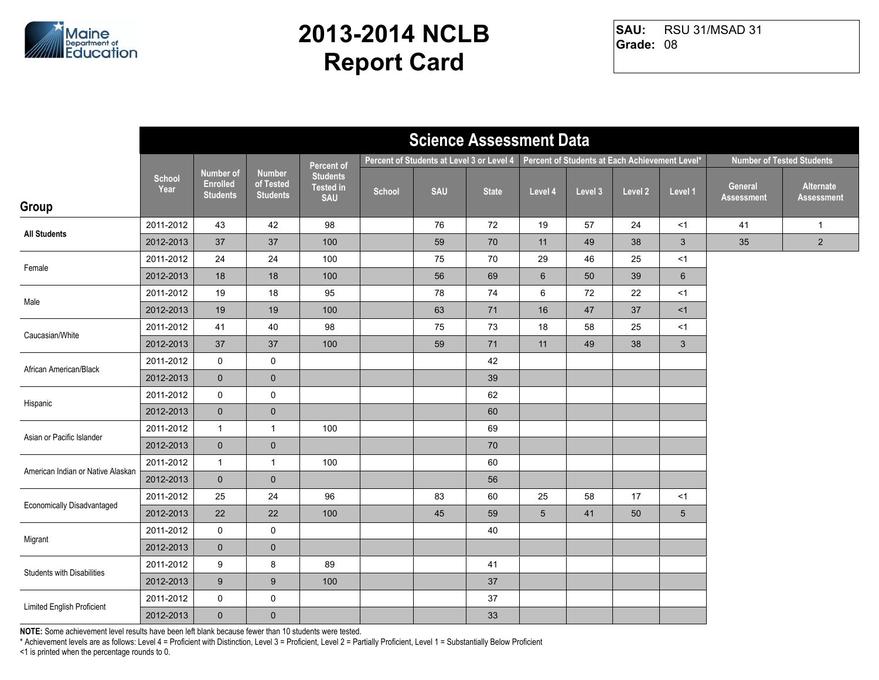

RSU 31/MSAD 31 **Grade:** 08 **SAU:**

|                                   | <b>Science Assessment Data</b> |                                                        |                                               |                                                   |        |                                           |              |                 |                                                |         |                 |                                  |                                |
|-----------------------------------|--------------------------------|--------------------------------------------------------|-----------------------------------------------|---------------------------------------------------|--------|-------------------------------------------|--------------|-----------------|------------------------------------------------|---------|-----------------|----------------------------------|--------------------------------|
|                                   |                                |                                                        |                                               | <b>Percent of</b>                                 |        | Percent of Students at Level 3 or Level 4 |              |                 | Percent of Students at Each Achievement Level* |         |                 | <b>Number of Tested Students</b> |                                |
| Group                             | School<br>Year                 | <b>Number of</b><br><b>Enrolled</b><br><b>Students</b> | <b>Number</b><br>of Tested<br><b>Students</b> | <b>Students</b><br><b>Tested in</b><br><b>SAU</b> | School | <b>SAU</b>                                | <b>State</b> | Level 4         | Level 3                                        | Level 2 | Level 1         | General<br><b>Assessment</b>     | Alternate<br><b>Assessment</b> |
|                                   | 2011-2012                      | 43                                                     | 42                                            | 98                                                |        | 76                                        | 72           | 19              | 57                                             | 24      | <1              | 41                               | $\mathbf{1}$                   |
| <b>All Students</b>               | 2012-2013                      | 37                                                     | 37                                            | 100                                               |        | 59                                        | 70           | 11              | 49                                             | 38      | $\mathbf{3}$    | 35                               | $\overline{2}$                 |
| Female                            | 2011-2012                      | 24                                                     | 24                                            | 100                                               |        | 75                                        | 70           | 29              | 46                                             | 25      | $<$ 1           |                                  |                                |
|                                   | 2012-2013                      | 18                                                     | 18                                            | 100                                               |        | 56                                        | 69           | $6\phantom{1}$  | 50                                             | 39      | $6\phantom{1}$  |                                  |                                |
| Male                              | 2011-2012                      | 19                                                     | 18                                            | 95                                                |        | 78                                        | 74           | 6               | 72                                             | 22      | < 1             |                                  |                                |
|                                   | 2012-2013                      | 19                                                     | 19                                            | 100                                               |        | 63                                        | 71           | 16              | 47                                             | 37      | <1              |                                  |                                |
| Caucasian/White                   | 2011-2012                      | 41                                                     | 40                                            | 98                                                |        | 75                                        | 73           | $18\,$          | 58                                             | 25      | < 1             |                                  |                                |
|                                   | 2012-2013                      | 37                                                     | $37\,$                                        | 100                                               |        | 59                                        | 71           | 11              | 49                                             | 38      | $\mathbf{3}$    |                                  |                                |
| African American/Black            | 2011-2012                      | 0                                                      | $\pmb{0}$                                     |                                                   |        |                                           | 42           |                 |                                                |         |                 |                                  |                                |
|                                   | 2012-2013                      | $\mathbf 0$                                            | $\mathbf 0$                                   |                                                   |        |                                           | 39           |                 |                                                |         |                 |                                  |                                |
|                                   | 2011-2012                      | $\mathsf{O}\xspace$                                    | $\mathbf 0$                                   |                                                   |        |                                           | 62           |                 |                                                |         |                 |                                  |                                |
| Hispanic                          | 2012-2013                      | $\mathbf 0$                                            | $\pmb{0}$                                     |                                                   |        |                                           | 60           |                 |                                                |         |                 |                                  |                                |
| Asian or Pacific Islander         | 2011-2012                      | $\mathbf{1}$                                           | $\mathbf{1}$                                  | 100                                               |        |                                           | 69           |                 |                                                |         |                 |                                  |                                |
|                                   | 2012-2013                      | $\mathbf 0$                                            | $\pmb{0}$                                     |                                                   |        |                                           | 70           |                 |                                                |         |                 |                                  |                                |
| American Indian or Native Alaskan | 2011-2012                      | $\mathbf{1}$                                           | $\mathbf{1}$                                  | 100                                               |        |                                           | 60           |                 |                                                |         |                 |                                  |                                |
|                                   | 2012-2013                      | $\overline{0}$                                         | $\mathbf 0$                                   |                                                   |        |                                           | 56           |                 |                                                |         |                 |                                  |                                |
| Economically Disadvantaged        | 2011-2012                      | 25                                                     | 24                                            | 96                                                |        | 83                                        | 60           | 25              | 58                                             | 17      | $<$ 1           |                                  |                                |
|                                   | 2012-2013                      | 22                                                     | 22                                            | 100                                               |        | 45                                        | 59           | $5\phantom{.0}$ | 41                                             | 50      | $5\phantom{.0}$ |                                  |                                |
| Migrant                           | 2011-2012                      | 0                                                      | 0                                             |                                                   |        |                                           | 40           |                 |                                                |         |                 |                                  |                                |
|                                   | 2012-2013                      | $\mathbf 0$                                            | $\mathbf 0$                                   |                                                   |        |                                           |              |                 |                                                |         |                 |                                  |                                |
|                                   | 2011-2012                      | 9                                                      | 8                                             | 89                                                |        |                                           | 41           |                 |                                                |         |                 |                                  |                                |
| <b>Students with Disabilities</b> | 2012-2013                      | 9                                                      | $\boldsymbol{9}$                              | 100                                               |        |                                           | 37           |                 |                                                |         |                 |                                  |                                |
| Limited English Proficient        | 2011-2012                      | 0                                                      | $\pmb{0}$                                     |                                                   |        |                                           | $37\,$       |                 |                                                |         |                 |                                  |                                |
|                                   | 2012-2013                      | $\overline{0}$                                         | $\pmb{0}$                                     |                                                   |        |                                           | 33           |                 |                                                |         |                 |                                  |                                |

**NOTE:** Some achievement level results have been left blank because fewer than 10 students were tested.

\* Achievement levels are as follows: Level 4 = Proficient with Distinction, Level 3 = Proficient, Level 2 = Partially Proficient, Level 1 = Substantially Below Proficient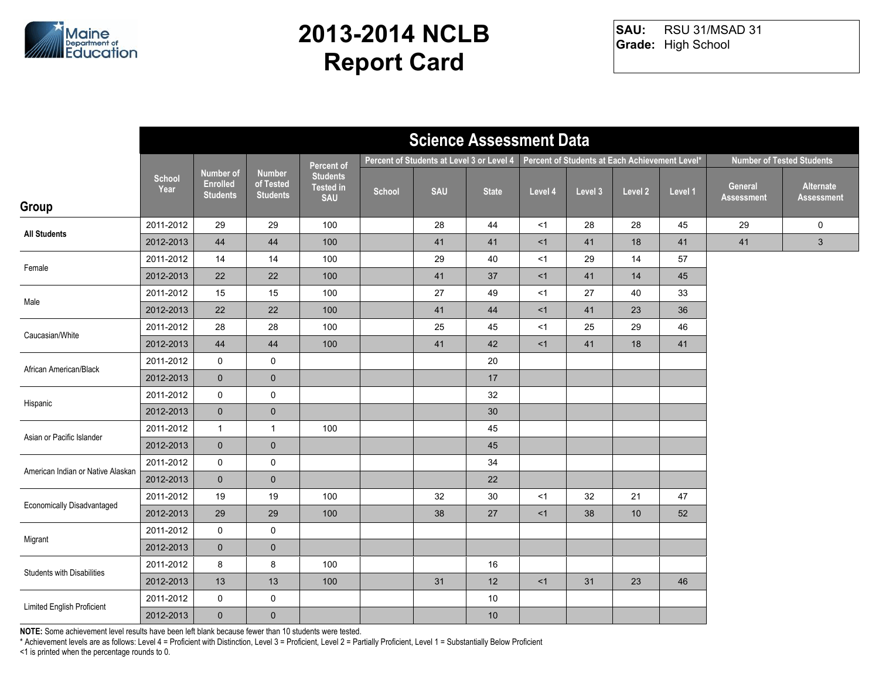

RSU 31/MSAD 31 **Grade:** High School **SAU:**

|                                   | <b>Science Assessment Data</b> |                                                        |                                               |                                                   |        |                                           |              |         |                                                |         |         |                              |                                  |
|-----------------------------------|--------------------------------|--------------------------------------------------------|-----------------------------------------------|---------------------------------------------------|--------|-------------------------------------------|--------------|---------|------------------------------------------------|---------|---------|------------------------------|----------------------------------|
|                                   |                                |                                                        |                                               | <b>Percent of</b>                                 |        | Percent of Students at Level 3 or Level 4 |              |         | Percent of Students at Each Achievement Level* |         |         |                              | <b>Number of Tested Students</b> |
| Group                             | <b>School</b><br>Year          | <b>Number of</b><br><b>Enrolled</b><br><b>Students</b> | <b>Number</b><br>of Tested<br><b>Students</b> | <b>Students</b><br><b>Tested in</b><br><b>SAU</b> | School | <b>SAU</b>                                | <b>State</b> | Level 4 | Level 3                                        | Level 2 | Level 1 | General<br><b>Assessment</b> | Alternate<br><b>Assessment</b>   |
|                                   | 2011-2012                      | 29                                                     | 29                                            | 100                                               |        | 28                                        | 44           | <1      | 28                                             | 28      | 45      | 29                           | 0                                |
| <b>All Students</b>               | 2012-2013                      | 44                                                     | 44                                            | 100                                               |        | 41                                        | 41           | <1      | 41                                             | 18      | 41      | 41                           | $\mathbf{3}$                     |
| Female                            | 2011-2012                      | 14                                                     | 14                                            | 100                                               |        | 29                                        | 40           | $<$ 1   | 29                                             | 14      | 57      |                              |                                  |
|                                   | 2012-2013                      | 22                                                     | 22                                            | 100                                               |        | 41                                        | 37           | <1      | 41                                             | 14      | 45      |                              |                                  |
| Male                              | 2011-2012                      | 15                                                     | 15                                            | 100                                               |        | 27                                        | 49           | <1      | 27                                             | 40      | 33      |                              |                                  |
|                                   | 2012-2013                      | 22                                                     | 22                                            | 100                                               |        | 41                                        | 44           | <1      | 41                                             | 23      | 36      |                              |                                  |
| Caucasian/White                   | 2011-2012                      | 28                                                     | 28                                            | 100                                               |        | 25                                        | 45           | < 1     | 25                                             | 29      | 46      |                              |                                  |
|                                   | 2012-2013                      | 44                                                     | 44                                            | 100                                               |        | 41                                        | 42           | <1      | 41                                             | 18      | 41      |                              |                                  |
| African American/Black            | 2011-2012                      | 0                                                      | $\mathbf 0$                                   |                                                   |        |                                           | 20           |         |                                                |         |         |                              |                                  |
|                                   | 2012-2013                      | $\mathbf 0$                                            | $\mathbf 0$                                   |                                                   |        |                                           | 17           |         |                                                |         |         |                              |                                  |
| Hispanic                          | 2011-2012                      | $\mathsf{O}$                                           | $\pmb{0}$                                     |                                                   |        |                                           | 32           |         |                                                |         |         |                              |                                  |
|                                   | 2012-2013                      | $\mathbf 0$                                            | $\pmb{0}$                                     |                                                   |        |                                           | 30           |         |                                                |         |         |                              |                                  |
| Asian or Pacific Islander         | 2011-2012                      | $\mathbf{1}$                                           | $\mathbf{1}$                                  | 100                                               |        |                                           | 45           |         |                                                |         |         |                              |                                  |
|                                   | 2012-2013                      | $\mathbf 0$                                            | $\pmb{0}$                                     |                                                   |        |                                           | 45           |         |                                                |         |         |                              |                                  |
| American Indian or Native Alaskan | 2011-2012                      | $\mathsf{O}$                                           | 0                                             |                                                   |        |                                           | 34           |         |                                                |         |         |                              |                                  |
|                                   | 2012-2013                      | $\overline{0}$                                         | $\mathbf 0$                                   |                                                   |        |                                           | 22           |         |                                                |         |         |                              |                                  |
| Economically Disadvantaged        | 2011-2012                      | 19                                                     | 19                                            | 100                                               |        | 32                                        | $30\,$       | <1      | 32                                             | 21      | 47      |                              |                                  |
|                                   | 2012-2013                      | 29                                                     | 29                                            | 100                                               |        | 38                                        | 27           | <1      | 38                                             | 10      | 52      |                              |                                  |
| Migrant                           | 2011-2012                      | 0                                                      | $\pmb{0}$                                     |                                                   |        |                                           |              |         |                                                |         |         |                              |                                  |
|                                   | 2012-2013                      | $\mathbf 0$                                            | $\mathbf 0$                                   |                                                   |        |                                           |              |         |                                                |         |         |                              |                                  |
| <b>Students with Disabilities</b> | 2011-2012                      | 8                                                      | 8                                             | 100                                               |        |                                           | 16           |         |                                                |         |         |                              |                                  |
|                                   | 2012-2013                      | 13                                                     | 13                                            | 100                                               |        | 31                                        | 12           | <1      | 31                                             | 23      | 46      |                              |                                  |
| Limited English Proficient        | 2011-2012                      | 0                                                      | $\pmb{0}$                                     |                                                   |        |                                           | $10$         |         |                                                |         |         |                              |                                  |
|                                   | 2012-2013                      | $\mathbf 0$                                            | $\pmb{0}$                                     |                                                   |        |                                           | 10           |         |                                                |         |         |                              |                                  |

**NOTE:** Some achievement level results have been left blank because fewer than 10 students were tested.

\* Achievement levels are as follows: Level 4 = Proficient with Distinction, Level 3 = Proficient, Level 2 = Partially Proficient, Level 1 = Substantially Below Proficient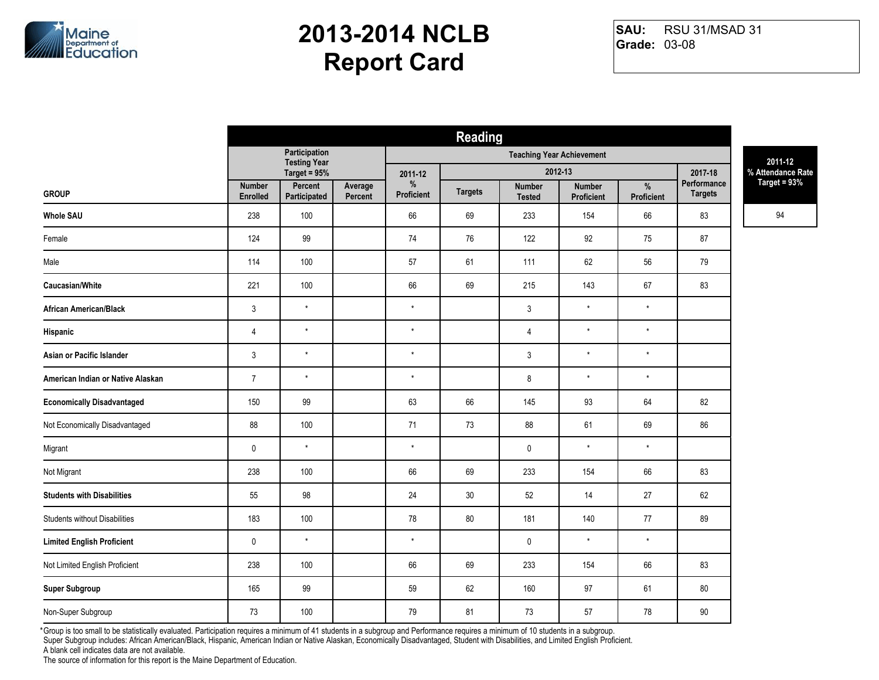

RSU 31/MSAD 31 **Grade:** 03-08 **SAU:**

| <b>Reading</b> |                |                                |            |                |                |               |                                                              |                |                   |
|----------------|----------------|--------------------------------|------------|----------------|----------------|---------------|--------------------------------------------------------------|----------------|-------------------|
|                | Participation  |                                |            |                |                |               |                                                              |                | 2011-12           |
|                | Target = $95%$ |                                | 2011-12    |                |                |               |                                                              | 2017-18        | % Attendance Rate |
| Enrolled       | Participated   | Percent                        | Proficient | <b>Targets</b> | <b>Tested</b>  | Proficient    | Proficient                                                   | <b>Targets</b> | Target = 93%      |
| 238            | 100            |                                | 66         | 69             | 233            | 154           | 66                                                           | 83             | 94                |
| 124            | 99             |                                | 74         | 76             | 122            | 92            | 75                                                           | 87             |                   |
| 114            | 100            |                                | 57         | 61             | 111            | 62            | 56                                                           | 79             |                   |
| 221            | 100            |                                | 66         | 69             | 215            | 143           | 67                                                           | 83             |                   |
| $\mathfrak{Z}$ | $^\star$       |                                | $\star$    |                | $\mathfrak{Z}$ | $\star$       | $\star$                                                      |                |                   |
| $\overline{4}$ | $\star$        |                                | $^\star$   |                | $\overline{4}$ | $\star$       | $\star$                                                      |                |                   |
| 3              | $\star$        |                                | $\star$    |                | $\sqrt{3}$     | $^\star$      | $\star$                                                      |                |                   |
| $\overline{7}$ | $\star$        |                                | $^\star$   |                | 8              | $\star$       | $\star$                                                      |                |                   |
| 150            | 99             |                                | 63         | 66             | 145            | 93            | 64                                                           | 82             |                   |
| 88             | 100            |                                | 71         | 73             | 88             | 61            | 69                                                           | 86             |                   |
| $\pmb{0}$      | $\star$        |                                | $\star$    |                | $\mathbf 0$    | $\star$       | $\star$                                                      |                |                   |
| 238            | 100            |                                | 66         | 69             | 233            | 154           | 66                                                           | 83             |                   |
| 55             | 98             |                                | 24         | 30             | $52\,$         | 14            | 27                                                           | 62             |                   |
| 183            | 100            |                                | 78         | 80             | 181            | 140           | 77                                                           | 89             |                   |
| $\pmb{0}$      | $\star$        |                                | $\star$    |                | $\mathbf 0$    | $\star$       | $\star$                                                      |                |                   |
| 238            | 100            |                                | 66         | 69             | 233            | 154           | 66                                                           | 83             |                   |
| 165            | 99             |                                | 59         | 62             | 160            | 97            | 61                                                           | 80             |                   |
| 73             | 100            |                                | 79         | 81             | 73             | 57            | 78                                                           | $90\,$         |                   |
|                | <b>Number</b>  | <b>Testing Year</b><br>Percent | Average    | $\%$           |                | <b>Number</b> | <b>Teaching Year Achievement</b><br>2012-13<br><b>Number</b> | $\frac{1}{2}$  | Performance       |

Group is too small to be statistically evaluated. Participation requires a minimum of 41 students in a subgroup and Performance requires a minimum of 10 students in a subgroup. \*Super Subgroup includes: African American/Black, Hispanic, American Indian or Native Alaskan, Economically Disadvantaged, Student with Disabilities, and Limited English Proficient.

A blank cell indicates data are not available.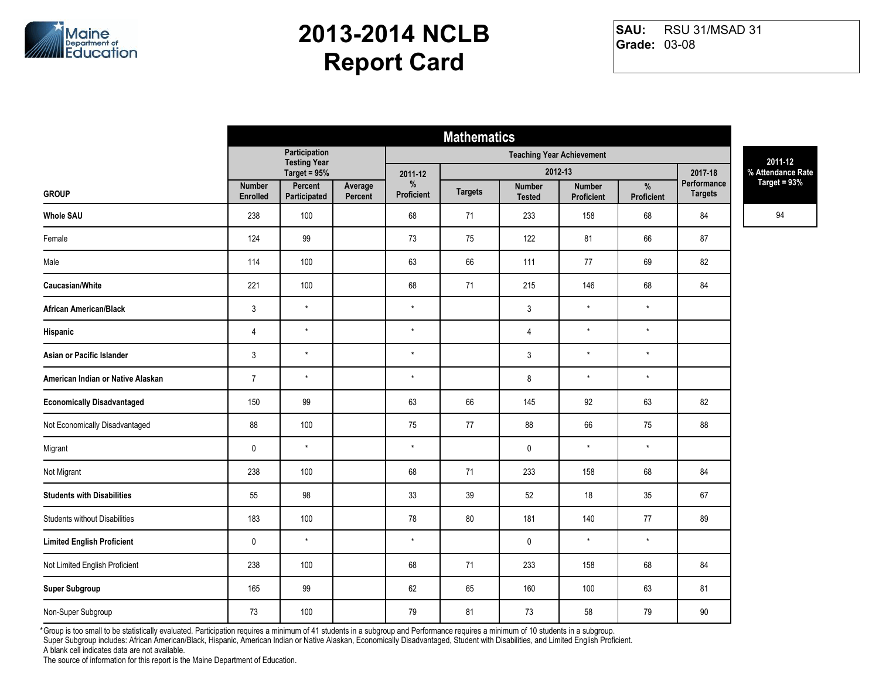

RSU 31/MSAD 31 **Grade:** 03-08 **SAU:**

| Participation<br><b>Teaching Year Achievement</b><br><b>Testing Year</b><br>2012-13<br>Target = $95%$<br>2017-18<br>2011-12<br>Performance<br>$\%$<br>Percent<br>$\%$<br><b>Number</b><br>Average<br><b>Number</b><br><b>Number</b><br><b>Targets</b><br><b>Targets</b><br><b>GROUP</b><br>Proficient<br>Proficient<br>Enrolled<br>Participated<br>Percent<br>Proficient<br><b>Tested</b> | 2011-12<br>% Attendance Rate<br>Target = 93%<br>94 |
|-------------------------------------------------------------------------------------------------------------------------------------------------------------------------------------------------------------------------------------------------------------------------------------------------------------------------------------------------------------------------------------------|----------------------------------------------------|
|                                                                                                                                                                                                                                                                                                                                                                                           |                                                    |
|                                                                                                                                                                                                                                                                                                                                                                                           |                                                    |
|                                                                                                                                                                                                                                                                                                                                                                                           |                                                    |
| 100<br>68<br><b>Whole SAU</b><br>238<br>71<br>233<br>158<br>68<br>84                                                                                                                                                                                                                                                                                                                      |                                                    |
| 99<br>122<br>81<br>66<br>Female<br>124<br>73<br>75<br>87                                                                                                                                                                                                                                                                                                                                  |                                                    |
| 63<br>66<br>111<br>82<br>114<br>100<br>77<br>69<br>Male                                                                                                                                                                                                                                                                                                                                   |                                                    |
| Caucasian/White<br>221<br>100<br>68<br>215<br>146<br>68<br>84<br>71                                                                                                                                                                                                                                                                                                                       |                                                    |
| $\star$<br>$\mathfrak{Z}$<br>$\star$<br>$^\star$<br>$\mathfrak{Z}$<br>$\star$<br><b>African American/Black</b>                                                                                                                                                                                                                                                                            |                                                    |
| $\star$<br>$^\star$<br>$\star$<br>$\star$<br>$\overline{4}$<br>$\overline{4}$<br>Hispanic                                                                                                                                                                                                                                                                                                 |                                                    |
| $\star$<br>$\star$<br>$\mathsf 3$<br>$\star$<br>$\star$<br>$\sqrt{3}$<br>Asian or Pacific Islander                                                                                                                                                                                                                                                                                        |                                                    |
| $\star$<br>$^\star$<br>$^\star$<br>$\bf 8$<br>$\star$<br>American Indian or Native Alaskan<br>$\overline{7}$                                                                                                                                                                                                                                                                              |                                                    |
| 66<br><b>Economically Disadvantaged</b><br>99<br>63<br>145<br>92<br>82<br>150<br>63                                                                                                                                                                                                                                                                                                       |                                                    |
| Not Economically Disadvantaged<br>100<br>88<br>66<br>88<br>88<br>75<br>77<br>75                                                                                                                                                                                                                                                                                                           |                                                    |
| $^\star$<br>$\star$<br>$\star$<br>$\star$<br>$\pmb{0}$<br>$\pmb{0}$<br>Migrant                                                                                                                                                                                                                                                                                                            |                                                    |
| Not Migrant<br>238<br>100<br>68<br>71<br>233<br>158<br>68<br>84                                                                                                                                                                                                                                                                                                                           |                                                    |
| 98<br>33<br>39<br>52<br>18<br><b>Students with Disabilities</b><br>55<br>35<br>67                                                                                                                                                                                                                                                                                                         |                                                    |
| <b>Students without Disabilities</b><br>183<br>100<br>78<br>80<br>181<br>140<br>77<br>89                                                                                                                                                                                                                                                                                                  |                                                    |
| $\star$<br>$\star$<br>$\star$<br>$\star$<br>$\pmb{0}$<br><b>Limited English Proficient</b><br>$\mathbf 0$                                                                                                                                                                                                                                                                                 |                                                    |
| 68<br>233<br>Not Limited English Proficient<br>238<br>100<br>71<br>158<br>68<br>84                                                                                                                                                                                                                                                                                                        |                                                    |
| 99<br>62<br><b>Super Subgroup</b><br>165<br>65<br>160<br>100<br>63<br>81                                                                                                                                                                                                                                                                                                                  |                                                    |
| 73<br>100<br>79<br>81<br>58<br>79<br>90<br>Non-Super Subgroup<br>73                                                                                                                                                                                                                                                                                                                       |                                                    |

Group is too small to be statistically evaluated. Participation requires a minimum of 41 students in a subgroup and Performance requires a minimum of 10 students in a subgroup. \*Super Subgroup includes: African American/Black, Hispanic, American Indian or Native Alaskan, Economically Disadvantaged, Student with Disabilities, and Limited English Proficient.

A blank cell indicates data are not available.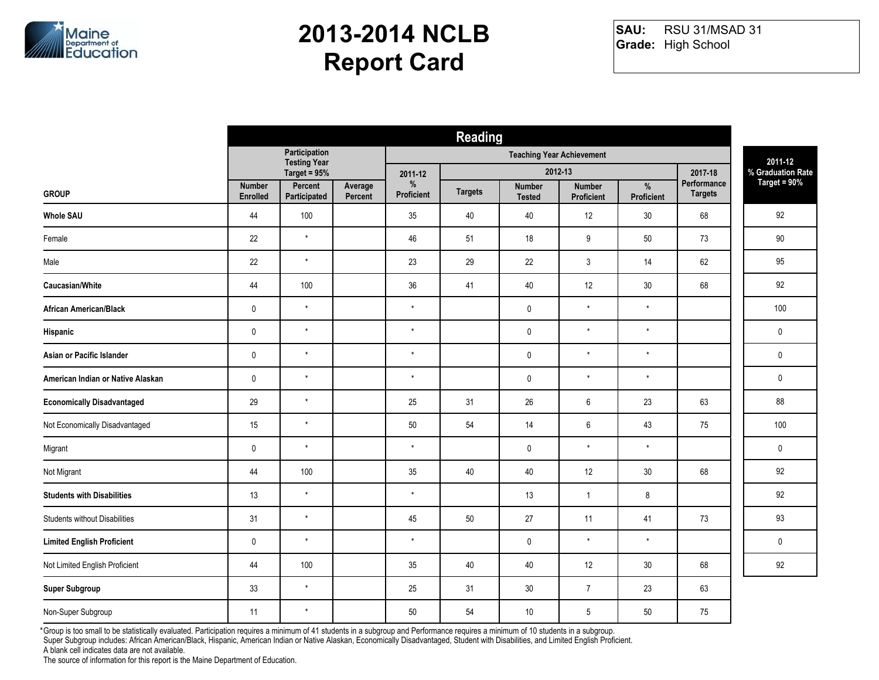

RSU 31/MSAD 31 **Grade:** High School **SAU:**

|                                      | <b>Reading</b>                   |                                      |                    |                 |                |                         |                                    |                 |                        |                                     |  |
|--------------------------------------|----------------------------------|--------------------------------------|--------------------|-----------------|----------------|-------------------------|------------------------------------|-----------------|------------------------|-------------------------------------|--|
|                                      |                                  | Participation<br><b>Testing Year</b> |                    |                 |                |                         | <b>Teaching Year Achievement</b>   |                 |                        | 2011-12                             |  |
|                                      |                                  | Target = 95%                         |                    | 2011-12         |                |                         | 2012-13                            |                 | 2017-18<br>Performance | % Graduation Rate<br>Target = $90%$ |  |
| <b>GROUP</b>                         | <b>Number</b><br><b>Enrolled</b> | Percent<br>Participated              | Average<br>Percent | %<br>Proficient | <b>Targets</b> | Number<br><b>Tested</b> | <b>Number</b><br><b>Proficient</b> | %<br>Proficient | <b>Targets</b>         |                                     |  |
| <b>Whole SAU</b>                     | 44                               | 100                                  |                    | 35              | 40             | 40                      | 12                                 | $30\,$          | 68                     | 92                                  |  |
| Female                               | 22                               | $\star$                              |                    | 46              | 51             | 18                      | 9                                  | 50              | 73                     | $90\,$                              |  |
| Male                                 | 22                               | $\star$                              |                    | 23              | 29             | 22                      | 3                                  | 14              | 62                     | 95                                  |  |
| Caucasian/White                      | 44                               | 100                                  |                    | 36              | 41             | 40                      | 12                                 | 30              | 68                     | 92                                  |  |
| <b>African American/Black</b>        | $\pmb{0}$                        | $\star$                              |                    | $\star$         |                | $\pmb{0}$               | $\star$                            | $^\star$        |                        | 100                                 |  |
| Hispanic                             | $\mathbf 0$                      | $\star$                              |                    | $\star$         |                | $\mathbf 0$             | $\star$                            | $\star$         |                        | $\mathbf 0$                         |  |
| Asian or Pacific Islander            | $\pmb{0}$                        | $\star$                              |                    | $\star$         |                | $\pmb{0}$               | $\star$                            | $^\star$        |                        | $\mathbf 0$                         |  |
| American Indian or Native Alaskan    | $\pmb{0}$                        | $\star$                              |                    | $\star$         |                | $\pmb{0}$               | $\star$                            | $\star$         |                        | $\mathbf 0$                         |  |
| <b>Economically Disadvantaged</b>    | 29                               | $\star$                              |                    | 25              | 31             | 26                      | 6                                  | 23              | 63                     | 88                                  |  |
| Not Economically Disadvantaged       | 15                               | $\star$                              |                    | $50\,$          | 54             | 14                      | 6                                  | 43              | 75                     | 100                                 |  |
| Migrant                              | $\pmb{0}$                        | $\star$                              |                    | $\star$         |                | $\pmb{0}$               | $\star$                            | $^\star$        |                        | $\mathbf 0$                         |  |
| Not Migrant                          | 44                               | 100                                  |                    | 35              | 40             | 40                      | 12                                 | 30              | 68                     | 92                                  |  |
| <b>Students with Disabilities</b>    | 13                               | $\star$                              |                    | $^\star$        |                | 13                      | $\overline{1}$                     | 8               |                        | 92                                  |  |
| <b>Students without Disabilities</b> | 31                               | $\star$                              |                    | 45              | 50             | 27                      | 11                                 | 41              | 73                     | 93                                  |  |
| <b>Limited English Proficient</b>    | $\pmb{0}$                        | $\star$                              |                    | $^\star$        |                | $\pmb{0}$               | $\star$                            | $^\star$        |                        | $\mathbf 0$                         |  |
| Not Limited English Proficient       | 44                               | 100                                  |                    | 35              | 40             | 40                      | 12                                 | 30              | 68                     | 92                                  |  |
| <b>Super Subgroup</b>                | 33                               | $^\star$                             |                    | 25              | 31             | 30                      | $\overline{7}$                     | 23              | 63                     |                                     |  |
| Non-Super Subgroup                   | 11                               | $\star$                              |                    | 50              | 54             | 10                      | 5                                  | 50              | 75                     |                                     |  |

Group is too small to be statistically evaluated. Participation requires a minimum of 41 students in a subgroup and Performance requires a minimum of 10 students in a subgroup. \*

Super Subgroup includes: African American/Black, Hispanic, American Indian or Native Alaskan, Economically Disadvantaged, Student with Disabilities, and Limited English Proficient.

A blank cell indicates data are not available.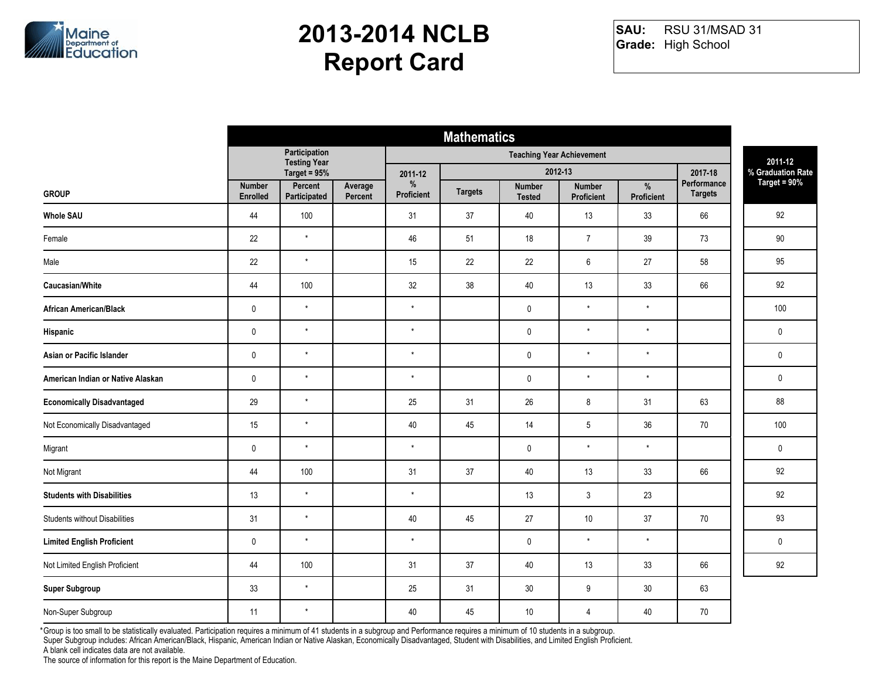

RSU 31/MSAD 31 **Grade:** High School **SAU:**

|                                      | <b>Mathematics</b>               |                                      |                    |                 |                |                                |                                    |                 |                        |                                     |  |
|--------------------------------------|----------------------------------|--------------------------------------|--------------------|-----------------|----------------|--------------------------------|------------------------------------|-----------------|------------------------|-------------------------------------|--|
|                                      |                                  | Participation<br><b>Testing Year</b> |                    |                 |                |                                | <b>Teaching Year Achievement</b>   |                 |                        | 2011-12                             |  |
|                                      |                                  | Target = 95%                         |                    | 2011-12         |                |                                | 2012-13                            |                 | 2017-18<br>Performance | % Graduation Rate<br>Target = $90%$ |  |
| <b>GROUP</b>                         | <b>Number</b><br><b>Enrolled</b> | Percent<br>Participated              | Average<br>Percent | %<br>Proficient | <b>Targets</b> | <b>Number</b><br><b>Tested</b> | <b>Number</b><br><b>Proficient</b> | %<br>Proficient | <b>Targets</b>         |                                     |  |
| <b>Whole SAU</b>                     | 44                               | 100                                  |                    | 31              | 37             | 40                             | 13                                 | 33              | 66                     | 92                                  |  |
| Female                               | 22                               | $\star$                              |                    | 46              | 51             | 18                             | $\overline{7}$                     | 39              | 73                     | $90\,$                              |  |
| Male                                 | 22                               | $\star$                              |                    | 15              | 22             | 22                             | 6                                  | 27              | 58                     | 95                                  |  |
| Caucasian/White                      | 44                               | 100                                  |                    | 32              | 38             | 40                             | 13                                 | 33              | 66                     | 92                                  |  |
| <b>African American/Black</b>        | $\pmb{0}$                        | $\star$                              |                    | $^\star$        |                | $\pmb{0}$                      | $\star$                            | $^\star$        |                        | 100                                 |  |
| Hispanic                             | $\mathbf 0$                      | $\star$                              |                    | $\star$         |                | $\mathbf 0$                    | $\star$                            | $\star$         |                        | $\mathbf 0$                         |  |
| Asian or Pacific Islander            | $\pmb{0}$                        | $\star$                              |                    | $\star$         |                | $\pmb{0}$                      | $\star$                            | $^\star$        |                        | $\mathbf 0$                         |  |
| American Indian or Native Alaskan    | $\pmb{0}$                        | $\star$                              |                    | $\star$         |                | $\pmb{0}$                      | $\star$                            | $\star$         |                        | $\mathbf 0$                         |  |
| <b>Economically Disadvantaged</b>    | 29                               | $\star$                              |                    | 25              | 31             | 26                             | 8                                  | 31              | 63                     | 88                                  |  |
| Not Economically Disadvantaged       | 15                               | $\star$                              |                    | 40              | 45             | 14                             | 5                                  | 36              | $70\,$                 | 100                                 |  |
| Migrant                              | $\pmb{0}$                        | $\star$                              |                    | $\star$         |                | $\pmb{0}$                      | $\star$                            | $^\star$        |                        | $\mathbf 0$                         |  |
| Not Migrant                          | 44                               | 100                                  |                    | 31              | 37             | 40                             | 13                                 | 33              | 66                     | 92                                  |  |
| <b>Students with Disabilities</b>    | 13                               | $\star$                              |                    | $^\star$        |                | 13                             | 3                                  | 23              |                        | 92                                  |  |
| <b>Students without Disabilities</b> | 31                               | $\star$                              |                    | 40              | 45             | 27                             | 10                                 | 37              | 70                     | 93                                  |  |
| <b>Limited English Proficient</b>    | $\pmb{0}$                        | $\star$                              |                    | $^\star$        |                | $\pmb{0}$                      | $\star$                            | $^\star$        |                        | $\mathbf 0$                         |  |
| Not Limited English Proficient       | 44                               | 100                                  |                    | 31              | 37             | 40                             | 13                                 | 33              | 66                     | 92                                  |  |
| <b>Super Subgroup</b>                | 33                               | $^\star$                             |                    | 25              | 31             | 30                             | 9                                  | 30              | 63                     |                                     |  |
| Non-Super Subgroup                   | 11                               | $\star$                              |                    | 40              | 45             | 10                             | 4                                  | 40              | 70                     |                                     |  |

Group is too small to be statistically evaluated. Participation requires a minimum of 41 students in a subgroup and Performance requires a minimum of 10 students in a subgroup. \*

Super Subgroup includes: African American/Black, Hispanic, American Indian or Native Alaskan, Economically Disadvantaged, Student with Disabilities, and Limited English Proficient.

A blank cell indicates data are not available.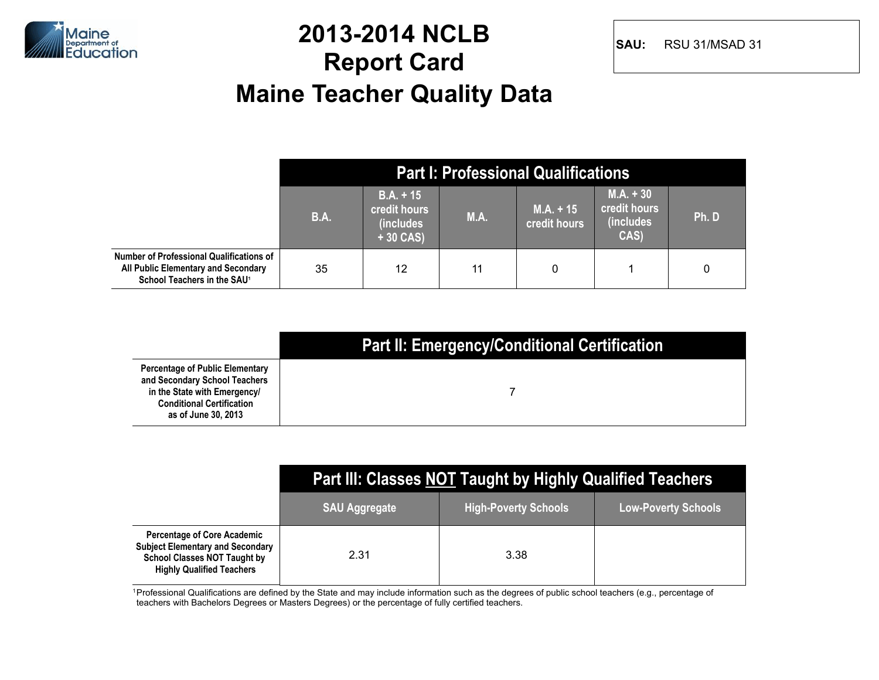

#### **2013-2014 NCLB Report Card Maine Teacher Quality Data**

**SAU:** RSU 31/MSAD 31

|                                                                                                                            |             |                                                         |      | <b>Part I: Professional Qualifications</b> |                                                  |       |
|----------------------------------------------------------------------------------------------------------------------------|-------------|---------------------------------------------------------|------|--------------------------------------------|--------------------------------------------------|-------|
|                                                                                                                            | <b>B.A.</b> | $B.A. + 15$<br>credit hours<br>(includes)<br>$+30$ CAS) | M.A. | $M.A. + 15$<br><b>credit hours</b>         | $M.A. + 30$<br>credit hours<br>(includes<br>CAS) | Ph. D |
| Number of Professional Qualifications of<br>All Public Elementary and Secondary<br>School Teachers in the SAU <sup>1</sup> | 35          | 12                                                      | 11   | 0                                          |                                                  | 0     |

|                                                                                                                                                                    | <b>Part II: Emergency/Conditional Certification</b> |
|--------------------------------------------------------------------------------------------------------------------------------------------------------------------|-----------------------------------------------------|
| <b>Percentage of Public Elementary</b><br>and Secondary School Teachers<br>in the State with Emergency/<br><b>Conditional Certification</b><br>as of June 30, 2013 |                                                     |

|                                                                                                                                                          | <b>Part III: Classes NOT Taught by Highly Qualified Teachers</b> |                             |                            |  |  |  |  |  |  |  |
|----------------------------------------------------------------------------------------------------------------------------------------------------------|------------------------------------------------------------------|-----------------------------|----------------------------|--|--|--|--|--|--|--|
|                                                                                                                                                          | <b>SAU Aggregate</b>                                             | <b>High-Poverty Schools</b> | <b>Low-Poverty Schools</b> |  |  |  |  |  |  |  |
| <b>Percentage of Core Academic</b><br><b>Subject Elementary and Secondary</b><br><b>School Classes NOT Taught by</b><br><b>Highly Qualified Teachers</b> | 2.31                                                             | 3.38                        |                            |  |  |  |  |  |  |  |

<sup>1</sup> Professional Qualifications are defined by the State and may include information such as the degrees of public school teachers (e.g., percentage of teachers with Bachelors Degrees or Masters Degrees) or the percentage of fully certified teachers.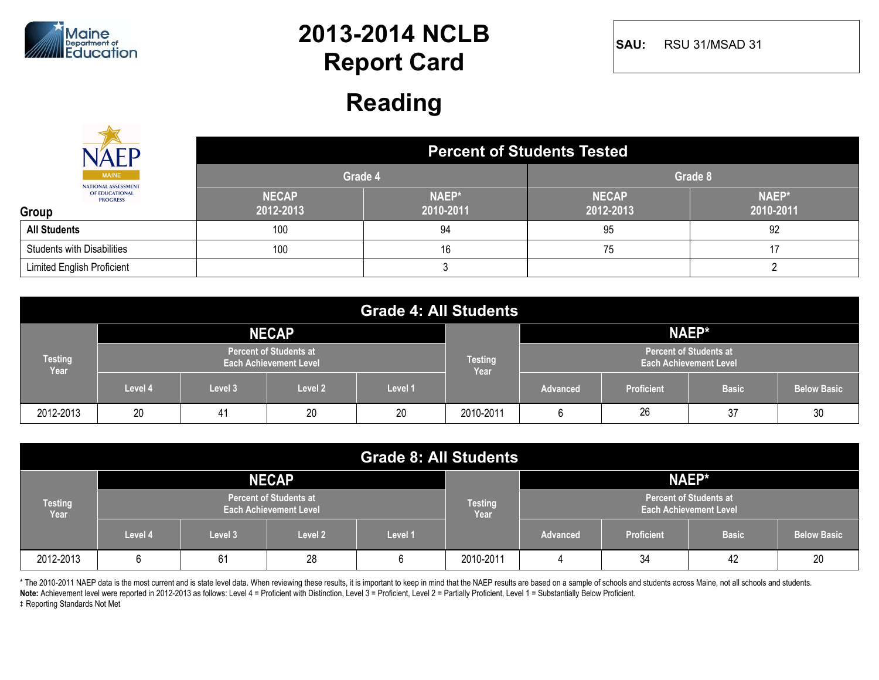

**SAU:** RSU 31/MSAD 31

#### **Reading**

|                                            | <b>Percent of Students Tested</b> |                    |                           |                    |  |  |  |  |
|--------------------------------------------|-----------------------------------|--------------------|---------------------------|--------------------|--|--|--|--|
| <b>MAINE</b><br><b>NATIONAL ASSESSMENT</b> | Grade 4                           |                    | Grade 8                   |                    |  |  |  |  |
| OF EDUCATIONAL<br><b>PROGRESS</b><br>Group | <b>NECAP</b><br>2012-2013         | NAEP*<br>2010-2011 | <b>NECAP</b><br>2012-2013 | NAEP*<br>2010-2011 |  |  |  |  |
| <b>All Students</b>                        | 100                               | 94                 | 95                        | 92                 |  |  |  |  |
| <b>Students with Disabilities</b>          | 100                               | 16                 | 75                        |                    |  |  |  |  |
| <b>Limited English Proficient</b>          |                                   |                    |                           |                    |  |  |  |  |

| <b>Grade 4: All Students</b> |         |         |                                                                |         |                        |                                                                |                   |              |                    |  |
|------------------------------|---------|---------|----------------------------------------------------------------|---------|------------------------|----------------------------------------------------------------|-------------------|--------------|--------------------|--|
|                              |         |         | <b>NECAP</b>                                                   |         |                        |                                                                |                   | NAEP*        |                    |  |
| <b>Testing</b><br>Year       |         |         | <b>Percent of Students at</b><br><b>Each Achievement Level</b> |         | <b>Testing</b><br>Year | <b>Percent of Students at</b><br><b>Each Achievement Level</b> |                   |              |                    |  |
|                              | Level 4 | Level 3 | Level 2                                                        | Level 1 |                        | <b>Advanced</b>                                                | <b>Proficient</b> | <b>Basic</b> | <b>Below Basic</b> |  |
| 2012-2013                    | 20      | 41      | 20                                                             | 20      | 2010-2011              | 6                                                              | 26                | 37           | 30                 |  |

| <b>Grade 8: All Students</b> |                                                                |         |                        |                                                                |           |                 |                   |              |                    |
|------------------------------|----------------------------------------------------------------|---------|------------------------|----------------------------------------------------------------|-----------|-----------------|-------------------|--------------|--------------------|
|                              |                                                                |         | <b>NECAP</b>           |                                                                |           | NAEP*           |                   |              |                    |
| <b>Testing</b><br>Year       | <b>Percent of Students at</b><br><b>Each Achievement Level</b> |         | <b>Testing</b><br>Year | <b>Percent of Students at</b><br><b>Each Achievement Level</b> |           |                 |                   |              |                    |
|                              | Level 4                                                        | Level 3 | Level 2                | Level 1                                                        |           | <b>Advanced</b> | <b>Proficient</b> | <b>Basic</b> | <b>Below Basic</b> |
| 2012-2013                    | 6                                                              | 61      | 28                     |                                                                | 2010-2011 |                 | 34                | 42           | 20                 |

\* The 2010-2011 NAEP data is the most current and is state level data. When reviewing these results, it is important to keep in mind that the NAEP results are based on a sample of schools and students across Maine, not all

**Note:** Achievement level were reported in 2012-2013 as follows: Level 4 = Proficient with Distinction, Level 3 = Proficient, Level 2 = Partially Proficient, Level 1 = Substantially Below Proficient.

 $\ddagger$  Reporting Standards Not Met